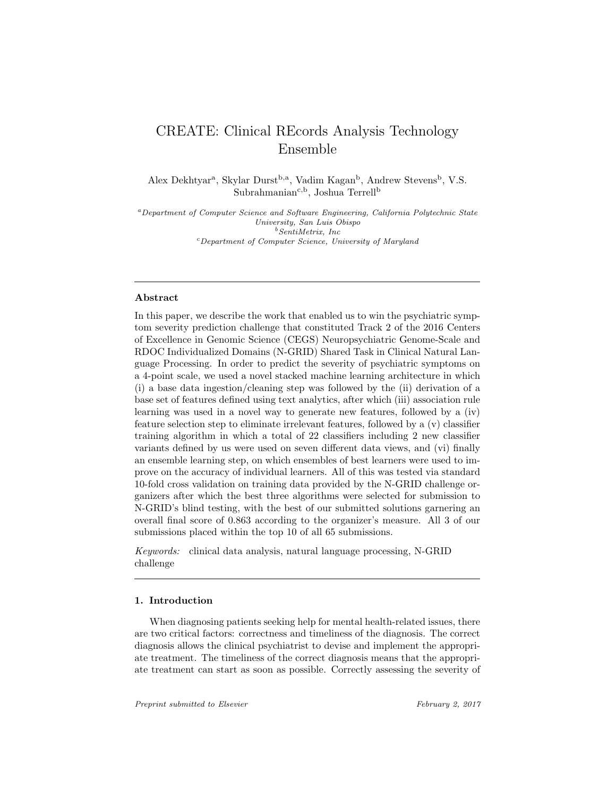# CREATE: Clinical REcords Analysis Technology Ensemble

Alex Dekhtyar<sup>a</sup>, Skylar Durst<sup>b,a</sup>, Vadim Kagan<sup>b</sup>, Andrew Stevens<sup>b</sup>, V.S. Subrahmanian<sup>c,b</sup>, Joshua Terrell<sup>b</sup>

<sup>a</sup>Department of Computer Science and Software Engineering, California Polytechnic State University, San Luis Obispo  $<sup>b</sup> SentiMetrix, Inc$ </sup> <sup>c</sup>Department of Computer Science, University of Maryland

## Abstract

In this paper, we describe the work that enabled us to win the psychiatric symptom severity prediction challenge that constituted Track 2 of the 2016 Centers of Excellence in Genomic Science (CEGS) Neuropsychiatric Genome-Scale and RDOC Individualized Domains (N-GRID) Shared Task in Clinical Natural Language Processing. In order to predict the severity of psychiatric symptoms on a 4-point scale, we used a novel stacked machine learning architecture in which (i) a base data ingestion/cleaning step was followed by the (ii) derivation of a base set of features defined using text analytics, after which (iii) association rule learning was used in a novel way to generate new features, followed by a (iv) feature selection step to eliminate irrelevant features, followed by a (v) classifier training algorithm in which a total of 22 classifiers including 2 new classifier variants defined by us were used on seven different data views, and (vi) finally an ensemble learning step, on which ensembles of best learners were used to improve on the accuracy of individual learners. All of this was tested via standard 10-fold cross validation on training data provided by the N-GRID challenge organizers after which the best three algorithms were selected for submission to N-GRID's blind testing, with the best of our submitted solutions garnering an overall final score of 0.863 according to the organizer's measure. All 3 of our submissions placed within the top 10 of all 65 submissions.

Keywords: clinical data analysis, natural language processing, N-GRID challenge

#### 1. Introduction

When diagnosing patients seeking help for mental health-related issues, there are two critical factors: correctness and timeliness of the diagnosis. The correct diagnosis allows the clinical psychiatrist to devise and implement the appropriate treatment. The timeliness of the correct diagnosis means that the appropriate treatment can start as soon as possible. Correctly assessing the severity of

Preprint submitted to Elsevier February 2, 2017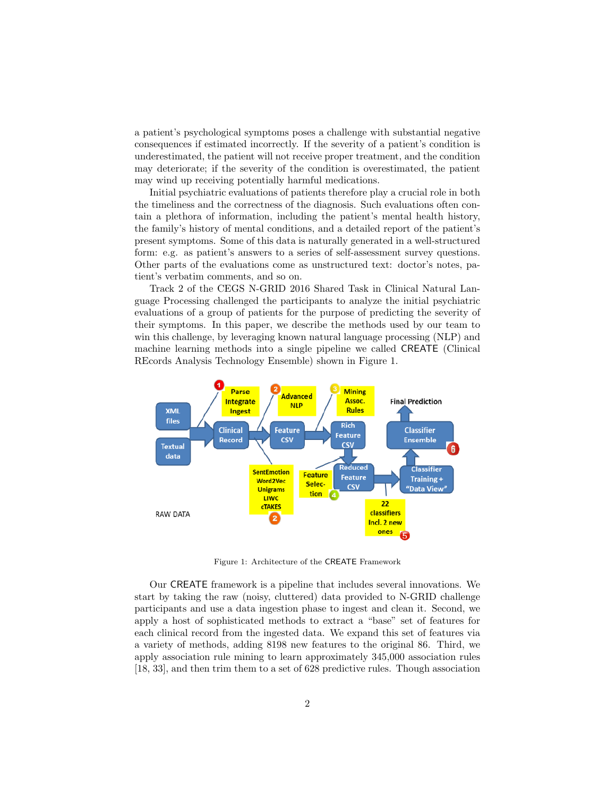a patient's psychological symptoms poses a challenge with substantial negative consequences if estimated incorrectly. If the severity of a patient's condition is underestimated, the patient will not receive proper treatment, and the condition may deteriorate; if the severity of the condition is overestimated, the patient may wind up receiving potentially harmful medications.

Initial psychiatric evaluations of patients therefore play a crucial role in both the timeliness and the correctness of the diagnosis. Such evaluations often contain a plethora of information, including the patient's mental health history, the family's history of mental conditions, and a detailed report of the patient's present symptoms. Some of this data is naturally generated in a well-structured form: e.g. as patient's answers to a series of self-assessment survey questions. Other parts of the evaluations come as unstructured text: doctor's notes, patient's verbatim comments, and so on.

Track 2 of the CEGS N-GRID 2016 Shared Task in Clinical Natural Language Processing challenged the participants to analyze the initial psychiatric evaluations of a group of patients for the purpose of predicting the severity of their symptoms. In this paper, we describe the methods used by our team to win this challenge, by leveraging known natural language processing (NLP) and machine learning methods into a single pipeline we called CREATE (Clinical REcords Analysis Technology Ensemble) shown in Figure 1.



Figure 1: Architecture of the CREATE Framework

Our CREATE framework is a pipeline that includes several innovations. We start by taking the raw (noisy, cluttered) data provided to N-GRID challenge participants and use a data ingestion phase to ingest and clean it. Second, we apply a host of sophisticated methods to extract a "base" set of features for each clinical record from the ingested data. We expand this set of features via a variety of methods, adding 8198 new features to the original 86. Third, we apply association rule mining to learn approximately 345,000 association rules [18, 33], and then trim them to a set of 628 predictive rules. Though association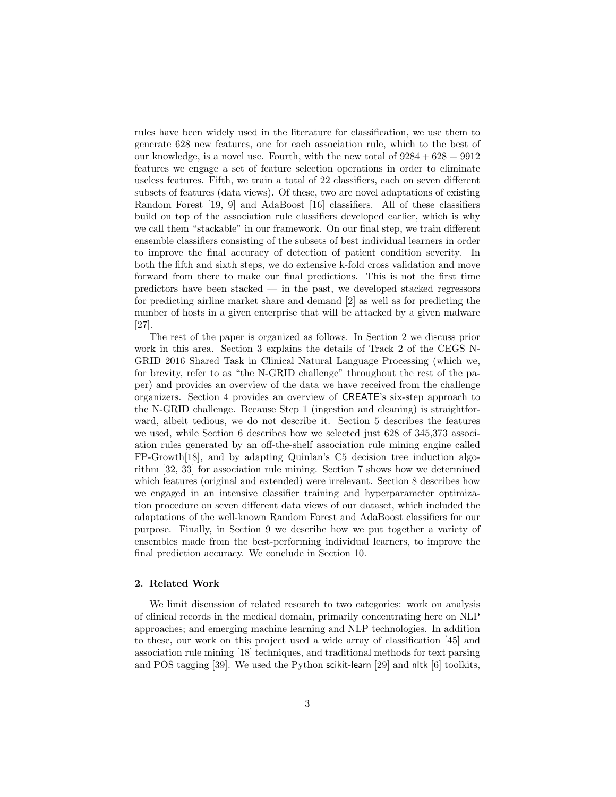rules have been widely used in the literature for classification, we use them to generate 628 new features, one for each association rule, which to the best of our knowledge, is a novel use. Fourth, with the new total of  $9284 + 628 = 9912$ features we engage a set of feature selection operations in order to eliminate useless features. Fifth, we train a total of 22 classifiers, each on seven different subsets of features (data views). Of these, two are novel adaptations of existing Random Forest [19, 9] and AdaBoost [16] classifiers. All of these classifiers build on top of the association rule classifiers developed earlier, which is why we call them "stackable" in our framework. On our final step, we train different ensemble classifiers consisting of the subsets of best individual learners in order to improve the final accuracy of detection of patient condition severity. In both the fifth and sixth steps, we do extensive k-fold cross validation and move forward from there to make our final predictions. This is not the first time predictors have been stacked — in the past, we developed stacked regressors for predicting airline market share and demand [2] as well as for predicting the number of hosts in a given enterprise that will be attacked by a given malware [27].

The rest of the paper is organized as follows. In Section 2 we discuss prior work in this area. Section 3 explains the details of Track 2 of the CEGS N-GRID 2016 Shared Task in Clinical Natural Language Processing (which we, for brevity, refer to as "the N-GRID challenge" throughout the rest of the paper) and provides an overview of the data we have received from the challenge organizers. Section 4 provides an overview of CREATE's six-step approach to the N-GRID challenge. Because Step 1 (ingestion and cleaning) is straightforward, albeit tedious, we do not describe it. Section 5 describes the features we used, while Section 6 describes how we selected just 628 of 345,373 association rules generated by an off-the-shelf association rule mining engine called FP-Growth[18], and by adapting Quinlan's C5 decision tree induction algorithm [32, 33] for association rule mining. Section 7 shows how we determined which features (original and extended) were irrelevant. Section 8 describes how we engaged in an intensive classifier training and hyperparameter optimization procedure on seven different data views of our dataset, which included the adaptations of the well-known Random Forest and AdaBoost classifiers for our purpose. Finally, in Section 9 we describe how we put together a variety of ensembles made from the best-performing individual learners, to improve the final prediction accuracy. We conclude in Section 10.

## 2. Related Work

We limit discussion of related research to two categories: work on analysis of clinical records in the medical domain, primarily concentrating here on NLP approaches; and emerging machine learning and NLP technologies. In addition to these, our work on this project used a wide array of classification [45] and association rule mining [18] techniques, and traditional methods for text parsing and POS tagging [39]. We used the Python scikit-learn [29] and nltk [6] toolkits,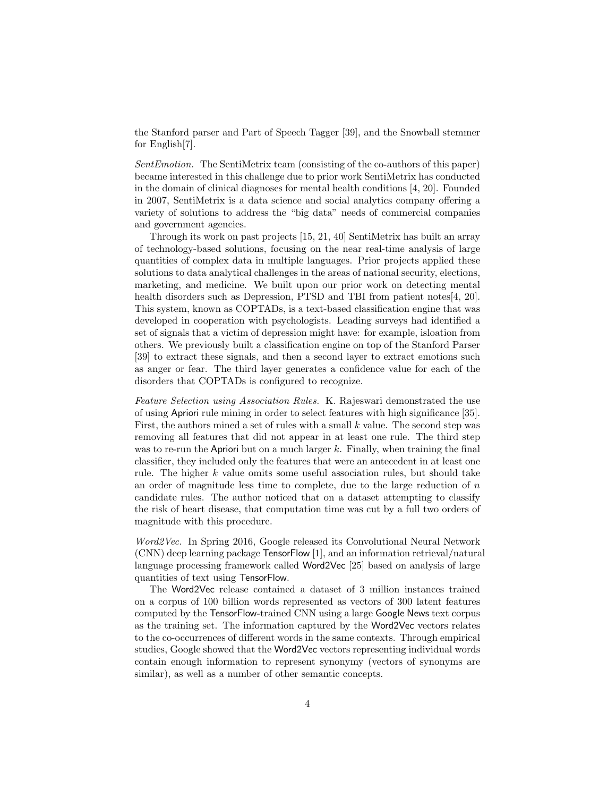the Stanford parser and Part of Speech Tagger [39], and the Snowball stemmer for English[7].

SentEmotion. The SentiMetrix team (consisting of the co-authors of this paper) became interested in this challenge due to prior work SentiMetrix has conducted in the domain of clinical diagnoses for mental health conditions [4, 20]. Founded in 2007, SentiMetrix is a data science and social analytics company offering a variety of solutions to address the "big data" needs of commercial companies and government agencies.

Through its work on past projects [15, 21, 40] SentiMetrix has built an array of technology-based solutions, focusing on the near real-time analysis of large quantities of complex data in multiple languages. Prior projects applied these solutions to data analytical challenges in the areas of national security, elections, marketing, and medicine. We built upon our prior work on detecting mental health disorders such as Depression, PTSD and TBI from patient notes[4, 20]. This system, known as COPTADs, is a text-based classification engine that was developed in cooperation with psychologists. Leading surveys had identified a set of signals that a victim of depression might have: for example, isloation from others. We previously built a classification engine on top of the Stanford Parser [39] to extract these signals, and then a second layer to extract emotions such as anger or fear. The third layer generates a confidence value for each of the disorders that COPTADs is configured to recognize.

Feature Selection using Association Rules. K. Rajeswari demonstrated the use of using Apriori rule mining in order to select features with high significance [35]. First, the authors mined a set of rules with a small  $k$  value. The second step was removing all features that did not appear in at least one rule. The third step was to re-run the Apriori but on a much larger  $k$ . Finally, when training the final classifier, they included only the features that were an antecedent in at least one rule. The higher k value omits some useful association rules, but should take an order of magnitude less time to complete, due to the large reduction of  $n$ candidate rules. The author noticed that on a dataset attempting to classify the risk of heart disease, that computation time was cut by a full two orders of magnitude with this procedure.

Word2Vec. In Spring 2016, Google released its Convolutional Neural Network (CNN) deep learning package TensorFlow [1], and an information retrieval/natural language processing framework called Word2Vec [25] based on analysis of large quantities of text using TensorFlow.

The Word2Vec release contained a dataset of 3 million instances trained on a corpus of 100 billion words represented as vectors of 300 latent features computed by the TensorFlow-trained CNN using a large Google News text corpus as the training set. The information captured by the Word2Vec vectors relates to the co-occurrences of different words in the same contexts. Through empirical studies, Google showed that the Word2Vec vectors representing individual words contain enough information to represent synonymy (vectors of synonyms are similar), as well as a number of other semantic concepts.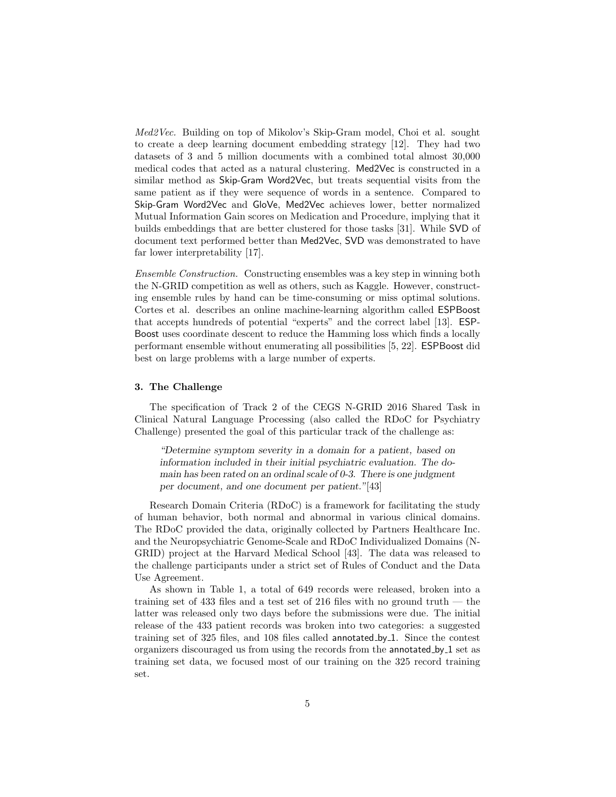Med2Vec. Building on top of Mikolov's Skip-Gram model, Choi et al. sought to create a deep learning document embedding strategy [12]. They had two datasets of 3 and 5 million documents with a combined total almost 30,000 medical codes that acted as a natural clustering. Med2Vec is constructed in a similar method as Skip-Gram Word2Vec, but treats sequential visits from the same patient as if they were sequence of words in a sentence. Compared to Skip-Gram Word2Vec and GloVe, Med2Vec achieves lower, better normalized Mutual Information Gain scores on Medication and Procedure, implying that it builds embeddings that are better clustered for those tasks [31]. While SVD of document text performed better than Med2Vec, SVD was demonstrated to have far lower interpretability [17].

Ensemble Construction. Constructing ensembles was a key step in winning both the N-GRID competition as well as others, such as Kaggle. However, constructing ensemble rules by hand can be time-consuming or miss optimal solutions. Cortes et al. describes an online machine-learning algorithm called ESPBoost that accepts hundreds of potential "experts" and the correct label [13]. ESP-Boost uses coordinate descent to reduce the Hamming loss which finds a locally performant ensemble without enumerating all possibilities [5, 22]. ESPBoost did best on large problems with a large number of experts.

#### 3. The Challenge

The specification of Track 2 of the CEGS N-GRID 2016 Shared Task in Clinical Natural Language Processing (also called the RDoC for Psychiatry Challenge) presented the goal of this particular track of the challenge as:

"Determine symptom severity in a domain for a patient, based on information included in their initial psychiatric evaluation. The domain has been rated on an ordinal scale of 0-3. There is one judgment per document, and one document per patient."[43]

Research Domain Criteria (RDoC) is a framework for facilitating the study of human behavior, both normal and abnormal in various clinical domains. The RDoC provided the data, originally collected by Partners Healthcare Inc. and the Neuropsychiatric Genome-Scale and RDoC Individualized Domains (N-GRID) project at the Harvard Medical School [43]. The data was released to the challenge participants under a strict set of Rules of Conduct and the Data Use Agreement.

As shown in Table 1, a total of 649 records were released, broken into a training set of  $433$  files and a test set of  $216$  files with no ground truth  $-$  the latter was released only two days before the submissions were due. The initial release of the 433 patient records was broken into two categories: a suggested training set of 325 files, and 108 files called annotated by 1. Since the contest organizers discouraged us from using the records from the annotated by 1 set as training set data, we focused most of our training on the 325 record training set.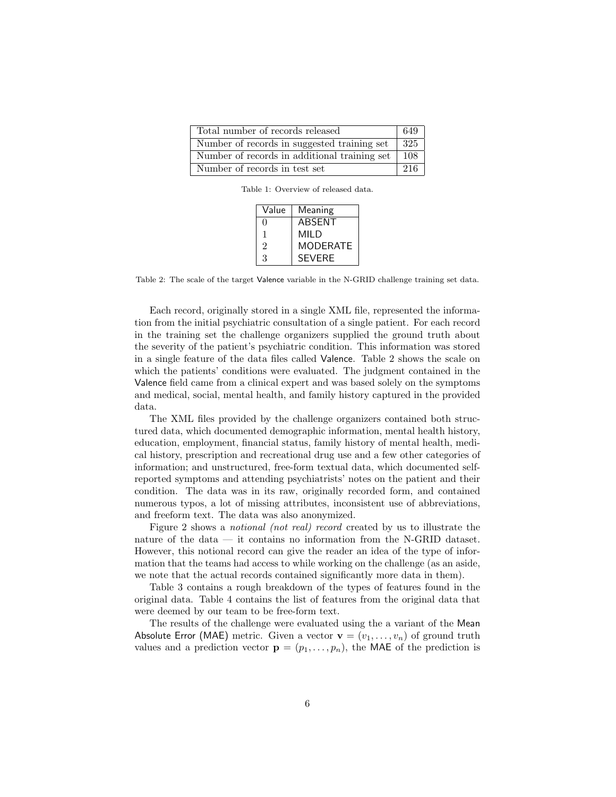| Total number of records released             |                  |
|----------------------------------------------|------------------|
| Number of records in suggested training set  | $\overline{3}25$ |
| Number of records in additional training set | 108              |
| Number of records in test set                | 216              |

Table 1: Overview of released data.

| Value          | Meaning         |
|----------------|-----------------|
| $\Omega$       | ABSENT          |
| 1              | MII D           |
| $\mathfrak{D}$ | <b>MODERATE</b> |
| 3              | <b>SFVFRF</b>   |

Table 2: The scale of the target Valence variable in the N-GRID challenge training set data.

Each record, originally stored in a single XML file, represented the information from the initial psychiatric consultation of a single patient. For each record in the training set the challenge organizers supplied the ground truth about the severity of the patient's psychiatric condition. This information was stored in a single feature of the data files called Valence. Table 2 shows the scale on which the patients' conditions were evaluated. The judgment contained in the Valence field came from a clinical expert and was based solely on the symptoms and medical, social, mental health, and family history captured in the provided data.

The XML files provided by the challenge organizers contained both structured data, which documented demographic information, mental health history, education, employment, financial status, family history of mental health, medical history, prescription and recreational drug use and a few other categories of information; and unstructured, free-form textual data, which documented selfreported symptoms and attending psychiatrists' notes on the patient and their condition. The data was in its raw, originally recorded form, and contained numerous typos, a lot of missing attributes, inconsistent use of abbreviations, and freeform text. The data was also anonymized.

Figure 2 shows a notional (not real) record created by us to illustrate the nature of the data — it contains no information from the N-GRID dataset. However, this notional record can give the reader an idea of the type of information that the teams had access to while working on the challenge (as an aside, we note that the actual records contained significantly more data in them).

Table 3 contains a rough breakdown of the types of features found in the original data. Table 4 contains the list of features from the original data that were deemed by our team to be free-form text.

The results of the challenge were evaluated using the a variant of the Mean Absolute Error (MAE) metric. Given a vector  $\mathbf{v} = (v_1, \dots, v_n)$  of ground truth values and a prediction vector  $\mathbf{p} = (p_1, \ldots, p_n)$ , the MAE of the prediction is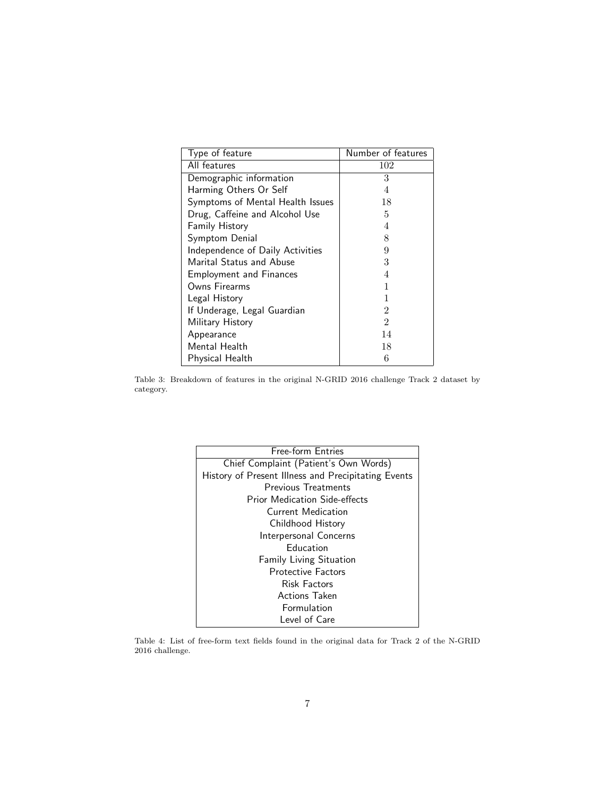| Type of feature                  | Number of features |
|----------------------------------|--------------------|
| All features                     | 102                |
| Demographic information          | 3                  |
| Harming Others Or Self           | 4                  |
| Symptoms of Mental Health Issues | 18                 |
| Drug, Caffeine and Alcohol Use   | 5                  |
| Family History                   | 4                  |
| Symptom Denial                   | 8                  |
| Independence of Daily Activities | 9                  |
| Marital Status and Abuse         | 3                  |
| <b>Employment and Finances</b>   | 4                  |
| Owns Firearms                    |                    |
| Legal History                    |                    |
| If Underage, Legal Guardian      | 2                  |
| Military History                 | $\mathfrak{D}$     |
| Appearance                       | 14                 |
| Mental Health                    | 18                 |
| Physical Health                  | 6                  |

Table 3: Breakdown of features in the original N-GRID 2016 challenge Track 2 dataset by category.

| Free-form Entries                                   |
|-----------------------------------------------------|
| Chief Complaint (Patient's Own Words)               |
| History of Present Illness and Precipitating Events |
| Previous Treatments                                 |
| <b>Prior Medication Side-effects</b>                |
| Current Medication                                  |
| Childhood History                                   |
| Interpersonal Concerns                              |
| <b>Education</b>                                    |
| <b>Family Living Situation</b>                      |
| <b>Protective Factors</b>                           |
| <b>Risk Factors</b>                                 |
| <b>Actions Taken</b>                                |
| Formulation                                         |
| Level of Care                                       |

Table 4: List of free-form text fields found in the original data for Track 2 of the N-GRID 2016 challenge.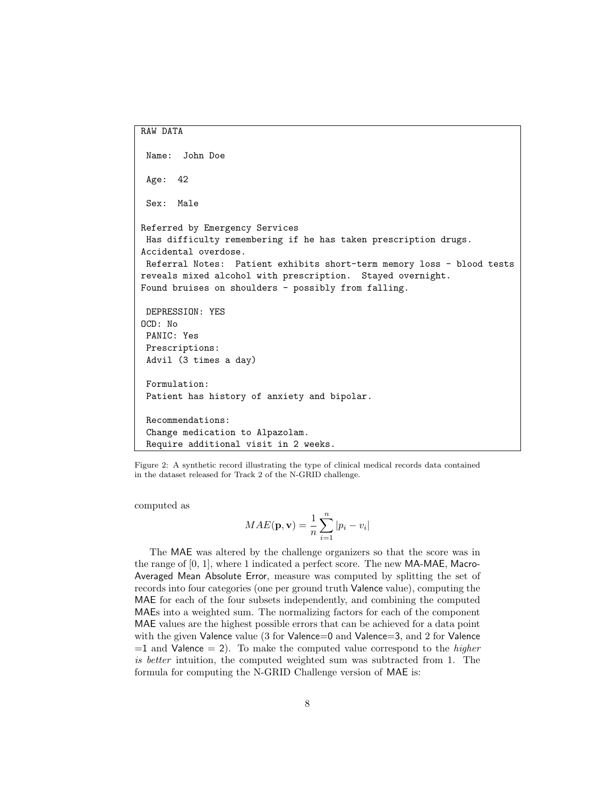```
RAW DATA
 Name: John Doe
 Age: 42
 Sex: Male
Referred by Emergency Services
 Has difficulty remembering if he has taken prescription drugs.
Accidental overdose.
 Referral Notes: Patient exhibits short-term memory loss - blood tests
reveals mixed alcohol with prescription. Stayed overnight.
Found bruises on shoulders - possibly from falling.
 DEPRESSION: YES
OCD: No
 PANIC: Yes
 Prescriptions:
 Advil (3 times a day)
 Formulation:
 Patient has history of anxiety and bipolar.
 Recommendations:
 Change medication to Alpazolam.
 Require additional visit in 2 weeks.
```
Figure 2: A synthetic record illustrating the type of clinical medical records data contained in the dataset released for Track 2 of the N-GRID challenge.

computed as

$$
MAE(\mathbf{p}, \mathbf{v}) = \frac{1}{n} \sum_{i=1}^{n} |p_i - v_i|
$$

The MAE was altered by the challenge organizers so that the score was in the range of [0, 1], where 1 indicated a perfect score. The new MA-MAE, Macro-Averaged Mean Absolute Error, measure was computed by splitting the set of records into four categories (one per ground truth Valence value), computing the MAE for each of the four subsets independently, and combining the computed MAEs into a weighted sum. The normalizing factors for each of the component MAE values are the highest possible errors that can be achieved for a data point with the given Valence value (3 for Valence=0 and Valence=3, and 2 for Valence  $=1$  and Valence  $= 2$ ). To make the computed value correspond to the *higher* is better intuition, the computed weighted sum was subtracted from 1. The formula for computing the N-GRID Challenge version of MAE is: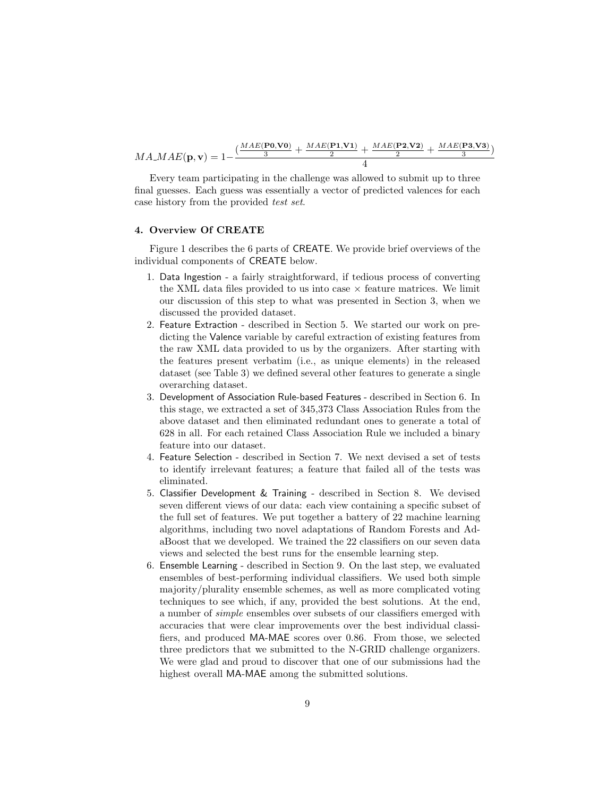$MA\_MAE(\mathbf{p}, \mathbf{v}) = 1 - \frac{(\frac{MAE(\mathbf{P0}, \mathbf{V0})}{3} + \frac{MAE(\mathbf{P1}, \mathbf{V1})}{2} + \frac{MAE(\mathbf{P2}, \mathbf{V2})}{2} + \frac{MAE(\mathbf{P3}, \mathbf{V3})}{3})}{2}$  $\frac{P3, V3)}{3}$ 4

Every team participating in the challenge was allowed to submit up to three final guesses. Each guess was essentially a vector of predicted valences for each case history from the provided test set.

## 4. Overview Of CREATE

Figure 1 describes the 6 parts of CREATE. We provide brief overviews of the individual components of CREATE below.

- 1. Data Ingestion a fairly straightforward, if tedious process of converting the XML data files provided to us into case  $\times$  feature matrices. We limit our discussion of this step to what was presented in Section 3, when we discussed the provided dataset.
- 2. Feature Extraction described in Section 5. We started our work on predicting the Valence variable by careful extraction of existing features from the raw XML data provided to us by the organizers. After starting with the features present verbatim (i.e., as unique elements) in the released dataset (see Table 3) we defined several other features to generate a single overarching dataset.
- 3. Development of Association Rule-based Features described in Section 6. In this stage, we extracted a set of 345,373 Class Association Rules from the above dataset and then eliminated redundant ones to generate a total of 628 in all. For each retained Class Association Rule we included a binary feature into our dataset.
- 4. Feature Selection described in Section 7. We next devised a set of tests to identify irrelevant features; a feature that failed all of the tests was eliminated.
- 5. Classifier Development & Training described in Section 8. We devised seven different views of our data: each view containing a specific subset of the full set of features. We put together a battery of 22 machine learning algorithms, including two novel adaptations of Random Forests and AdaBoost that we developed. We trained the 22 classifiers on our seven data views and selected the best runs for the ensemble learning step.
- 6. Ensemble Learning described in Section 9. On the last step, we evaluated ensembles of best-performing individual classifiers. We used both simple majority/plurality ensemble schemes, as well as more complicated voting techniques to see which, if any, provided the best solutions. At the end, a number of simple ensembles over subsets of our classifiers emerged with accuracies that were clear improvements over the best individual classifiers, and produced MA-MAE scores over 0.86. From those, we selected three predictors that we submitted to the N-GRID challenge organizers. We were glad and proud to discover that one of our submissions had the highest overall MA-MAE among the submitted solutions.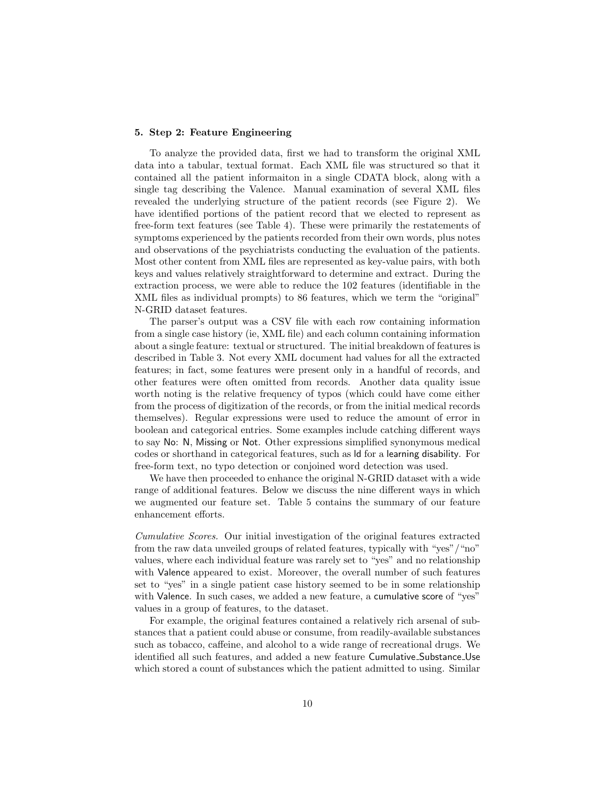## 5. Step 2: Feature Engineering

To analyze the provided data, first we had to transform the original XML data into a tabular, textual format. Each XML file was structured so that it contained all the patient informaiton in a single CDATA block, along with a single tag describing the Valence. Manual examination of several XML files revealed the underlying structure of the patient records (see Figure 2). We have identified portions of the patient record that we elected to represent as free-form text features (see Table 4). These were primarily the restatements of symptoms experienced by the patients recorded from their own words, plus notes and observations of the psychiatrists conducting the evaluation of the patients. Most other content from XML files are represented as key-value pairs, with both keys and values relatively straightforward to determine and extract. During the extraction process, we were able to reduce the 102 features (identifiable in the XML files as individual prompts) to 86 features, which we term the "original" N-GRID dataset features.

The parser's output was a CSV file with each row containing information from a single case history (ie, XML file) and each column containing information about a single feature: textual or structured. The initial breakdown of features is described in Table 3. Not every XML document had values for all the extracted features; in fact, some features were present only in a handful of records, and other features were often omitted from records. Another data quality issue worth noting is the relative frequency of typos (which could have come either from the process of digitization of the records, or from the initial medical records themselves). Regular expressions were used to reduce the amount of error in boolean and categorical entries. Some examples include catching different ways to say No: N, Missing or Not. Other expressions simplified synonymous medical codes or shorthand in categorical features, such as ld for a learning disability. For free-form text, no typo detection or conjoined word detection was used.

We have then proceeded to enhance the original N-GRID dataset with a wide range of additional features. Below we discuss the nine different ways in which we augmented our feature set. Table 5 contains the summary of our feature enhancement efforts.

Cumulative Scores. Our initial investigation of the original features extracted from the raw data unveiled groups of related features, typically with "yes"/"no" values, where each individual feature was rarely set to "yes" and no relationship with Valence appeared to exist. Moreover, the overall number of such features set to "yes" in a single patient case history seemed to be in some relationship with Valence. In such cases, we added a new feature, a cumulative score of "yes" values in a group of features, to the dataset.

For example, the original features contained a relatively rich arsenal of substances that a patient could abuse or consume, from readily-available substances such as tobacco, caffeine, and alcohol to a wide range of recreational drugs. We identified all such features, and added a new feature Cumulative Substance Use which stored a count of substances which the patient admitted to using. Similar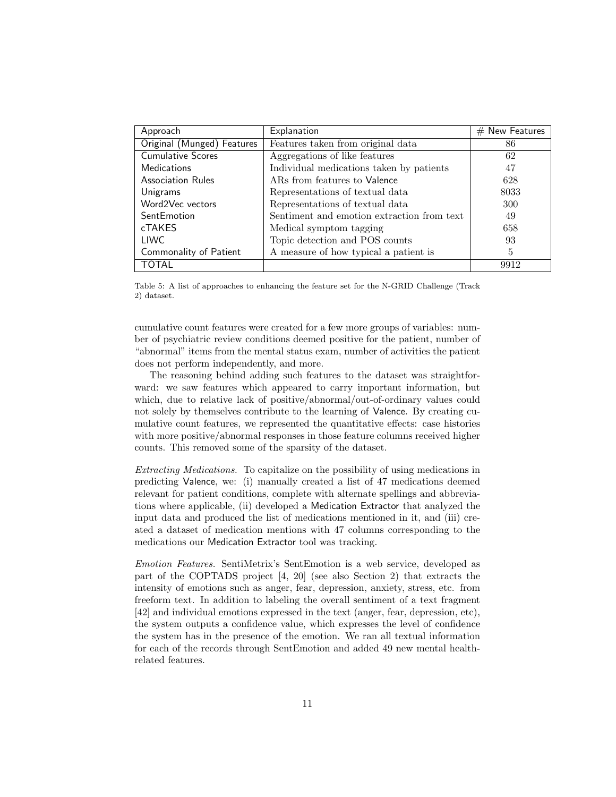| Approach                   | Explanation                                | $#$ New Features |
|----------------------------|--------------------------------------------|------------------|
| Original (Munged) Features | Features taken from original data          | 86               |
| <b>Cumulative Scores</b>   | Aggregations of like features              | 62               |
| <b>Medications</b>         | Individual medications taken by patients   | 47               |
| <b>Association Rules</b>   | ARs from features to Valence               | 628              |
| Unigrams                   | Representations of textual data            | 8033             |
| Word2Vec vectors           | Representations of textual data            | 300              |
| SentEmotion                | Sentiment and emotion extraction from text | 49               |
| cTAKES                     | Medical symptom tagging                    | 658              |
| LIWC                       | Topic detection and POS counts             | 93               |
| Commonality of Patient     | A measure of how typical a patient is      | 5                |
| TOTAL                      |                                            | 9912             |

Table 5: A list of approaches to enhancing the feature set for the N-GRID Challenge (Track 2) dataset.

cumulative count features were created for a few more groups of variables: number of psychiatric review conditions deemed positive for the patient, number of "abnormal" items from the mental status exam, number of activities the patient does not perform independently, and more.

The reasoning behind adding such features to the dataset was straightforward: we saw features which appeared to carry important information, but which, due to relative lack of positive/abnormal/out-of-ordinary values could not solely by themselves contribute to the learning of Valence. By creating cumulative count features, we represented the quantitative effects: case histories with more positive/abnormal responses in those feature columns received higher counts. This removed some of the sparsity of the dataset.

Extracting Medications. To capitalize on the possibility of using medications in predicting Valence, we: (i) manually created a list of 47 medications deemed relevant for patient conditions, complete with alternate spellings and abbreviations where applicable, (ii) developed a Medication Extractor that analyzed the input data and produced the list of medications mentioned in it, and (iii) created a dataset of medication mentions with 47 columns corresponding to the medications our Medication Extractor tool was tracking.

Emotion Features. SentiMetrix's SentEmotion is a web service, developed as part of the COPTADS project [4, 20] (see also Section 2) that extracts the intensity of emotions such as anger, fear, depression, anxiety, stress, etc. from freeform text. In addition to labeling the overall sentiment of a text fragment [42] and individual emotions expressed in the text (anger, fear, depression, etc), the system outputs a confidence value, which expresses the level of confidence the system has in the presence of the emotion. We ran all textual information for each of the records through SentEmotion and added 49 new mental healthrelated features.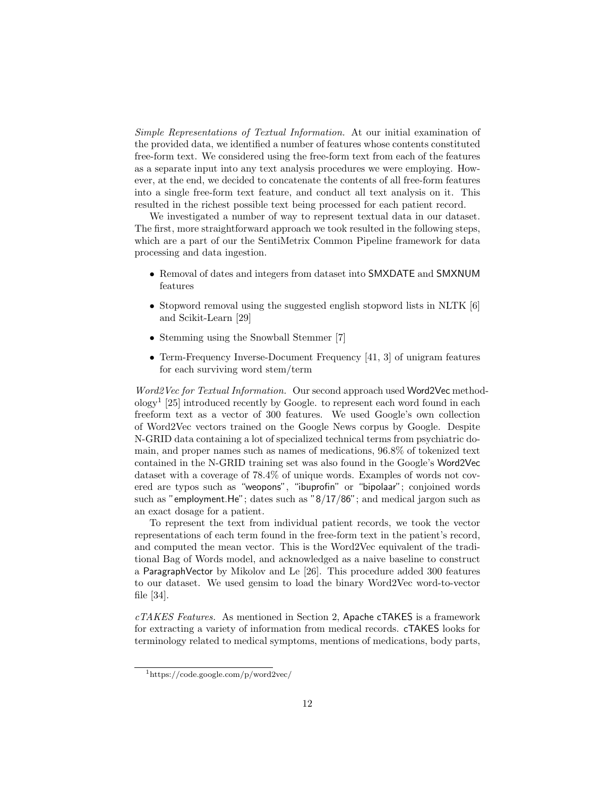Simple Representations of Textual Information. At our initial examination of the provided data, we identified a number of features whose contents constituted free-form text. We considered using the free-form text from each of the features as a separate input into any text analysis procedures we were employing. However, at the end, we decided to concatenate the contents of all free-form features into a single free-form text feature, and conduct all text analysis on it. This resulted in the richest possible text being processed for each patient record.

We investigated a number of way to represent textual data in our dataset. The first, more straightforward approach we took resulted in the following steps, which are a part of our the SentiMetrix Common Pipeline framework for data processing and data ingestion.

- Removal of dates and integers from dataset into SMXDATE and SMXNUM features
- Stopword removal using the suggested english stopword lists in NLTK [6] and Scikit-Learn [29]
- Stemming using the Snowball Stemmer [7]
- Term-Frequency Inverse-Document Frequency [41, 3] of unigram features for each surviving word stem/term

Word2Vec for Textual Information. Our second approach used Word2Vec methodology<sup>1</sup> [25] introduced recently by Google. to represent each word found in each freeform text as a vector of 300 features. We used Google's own collection of Word2Vec vectors trained on the Google News corpus by Google. Despite N-GRID data containing a lot of specialized technical terms from psychiatric domain, and proper names such as names of medications, 96.8% of tokenized text contained in the N-GRID training set was also found in the Google's Word2Vec dataset with a coverage of 78.4% of unique words. Examples of words not covered are typos such as "weopons", "ibuprofin" or "bipolaar"; conjoined words such as "employment.He"; dates such as "8/17/86"; and medical jargon such as an exact dosage for a patient.

To represent the text from individual patient records, we took the vector representations of each term found in the free-form text in the patient's record, and computed the mean vector. This is the Word2Vec equivalent of the traditional Bag of Words model, and acknowledged as a naive baseline to construct a ParagraphVector by Mikolov and Le [26]. This procedure added 300 features to our dataset. We used gensim to load the binary Word2Vec word-to-vector file [34].

 $cTAKES$  Features. As mentioned in Section 2, Apache cTAKES is a framework for extracting a variety of information from medical records. cTAKES looks for terminology related to medical symptoms, mentions of medications, body parts,

<sup>1</sup>https://code.google.com/p/word2vec/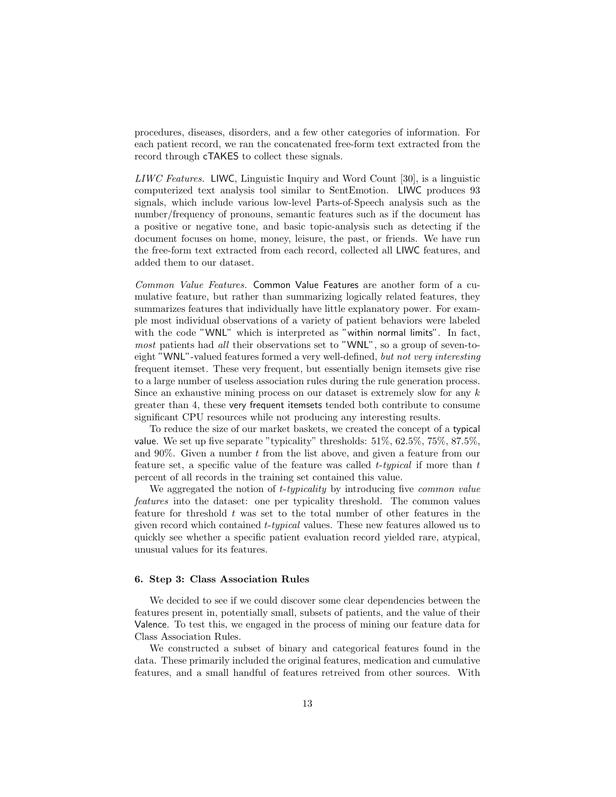procedures, diseases, disorders, and a few other categories of information. For each patient record, we ran the concatenated free-form text extracted from the record through cTAKES to collect these signals.

LIWC Features. LIWC, Linguistic Inquiry and Word Count [30], is a linguistic computerized text analysis tool similar to SentEmotion. LIWC produces 93 signals, which include various low-level Parts-of-Speech analysis such as the number/frequency of pronouns, semantic features such as if the document has a positive or negative tone, and basic topic-analysis such as detecting if the document focuses on home, money, leisure, the past, or friends. We have run the free-form text extracted from each record, collected all LIWC features, and added them to our dataset.

Common Value Features. Common Value Features are another form of a cumulative feature, but rather than summarizing logically related features, they summarizes features that individually have little explanatory power. For example most individual observations of a variety of patient behaviors were labeled with the code "WNL" which is interpreted as "within normal limits". In fact, most patients had all their observations set to "WNL", so a group of seven-toeight "WNL"-valued features formed a very well-defined, but not very interesting frequent itemset. These very frequent, but essentially benign itemsets give rise to a large number of useless association rules during the rule generation process. Since an exhaustive mining process on our dataset is extremely slow for any  $k$ greater than 4, these very frequent itemsets tended both contribute to consume significant CPU resources while not producing any interesting results.

To reduce the size of our market baskets, we created the concept of a typical value. We set up five separate "typicality" thresholds: 51%, 62.5%, 75%, 87.5%, and  $90\%$ . Given a number t from the list above, and given a feature from our feature set, a specific value of the feature was called  $t$ -typical if more than  $t$ percent of all records in the training set contained this value.

We aggregated the notion of *t*-typicality by introducing five *common value* features into the dataset: one per typicality threshold. The common values feature for threshold  $t$  was set to the total number of other features in the given record which contained t-typical values. These new features allowed us to quickly see whether a specific patient evaluation record yielded rare, atypical, unusual values for its features.

#### 6. Step 3: Class Association Rules

We decided to see if we could discover some clear dependencies between the features present in, potentially small, subsets of patients, and the value of their Valence. To test this, we engaged in the process of mining our feature data for Class Association Rules.

We constructed a subset of binary and categorical features found in the data. These primarily included the original features, medication and cumulative features, and a small handful of features retreived from other sources. With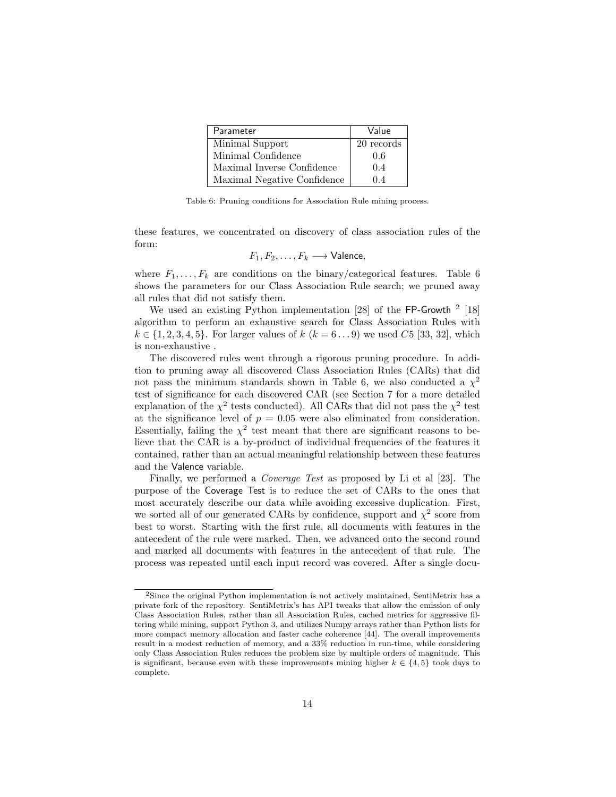| Parameter                   | Value      |
|-----------------------------|------------|
| Minimal Support             | 20 records |
| Minimal Confidence          | 0.6        |
| Maximal Inverse Confidence  | 0.4        |
| Maximal Negative Confidence | 04         |

Table 6: Pruning conditions for Association Rule mining process.

these features, we concentrated on discovery of class association rules of the form:

$$
F_1, F_2, \ldots, F_k \longrightarrow \text{Valence},
$$

where  $F_1, \ldots, F_k$  are conditions on the binary/categorical features. Table 6 shows the parameters for our Class Association Rule search; we pruned away all rules that did not satisfy them.

We used an existing Python implementation [28] of the FP-Growth <sup>2</sup> [18] algorithm to perform an exhaustive search for Class Association Rules with  $k \in \{1, 2, 3, 4, 5\}$ . For larger values of  $k (k = 6...9)$  we used C5 [33, 32], which is non-exhaustive .

The discovered rules went through a rigorous pruning procedure. In addition to pruning away all discovered Class Association Rules (CARs) that did not pass the minimum standards shown in Table 6, we also conducted a  $\chi^2$ test of significance for each discovered CAR (see Section 7 for a more detailed explanation of the  $\chi^2$  tests conducted). All CARs that did not pass the  $\chi^2$  test at the significance level of  $p = 0.05$  were also eliminated from consideration. Essentially, failing the  $\chi^2$  test meant that there are significant reasons to believe that the CAR is a by-product of individual frequencies of the features it contained, rather than an actual meaningful relationship between these features and the Valence variable.

Finally, we performed a Coverage Test as proposed by Li et al [23]. The purpose of the Coverage Test is to reduce the set of CARs to the ones that most accurately describe our data while avoiding excessive duplication. First, we sorted all of our generated CARs by confidence, support and  $\chi^2$  score from best to worst. Starting with the first rule, all documents with features in the antecedent of the rule were marked. Then, we advanced onto the second round and marked all documents with features in the antecedent of that rule. The process was repeated until each input record was covered. After a single docu-

<sup>2</sup>Since the original Python implementation is not actively maintained, SentiMetrix has a private fork of the repository. SentiMetrix's has API tweaks that allow the emission of only Class Association Rules, rather than all Association Rules, cached metrics for aggressive filtering while mining, support Python 3, and utilizes Numpy arrays rather than Python lists for more compact memory allocation and faster cache coherence [44]. The overall improvements result in a modest reduction of memory, and a 33% reduction in run-time, while considering only Class Association Rules reduces the problem size by multiple orders of magnitude. This is significant, because even with these improvements mining higher  $k \in \{4, 5\}$  took days to complete.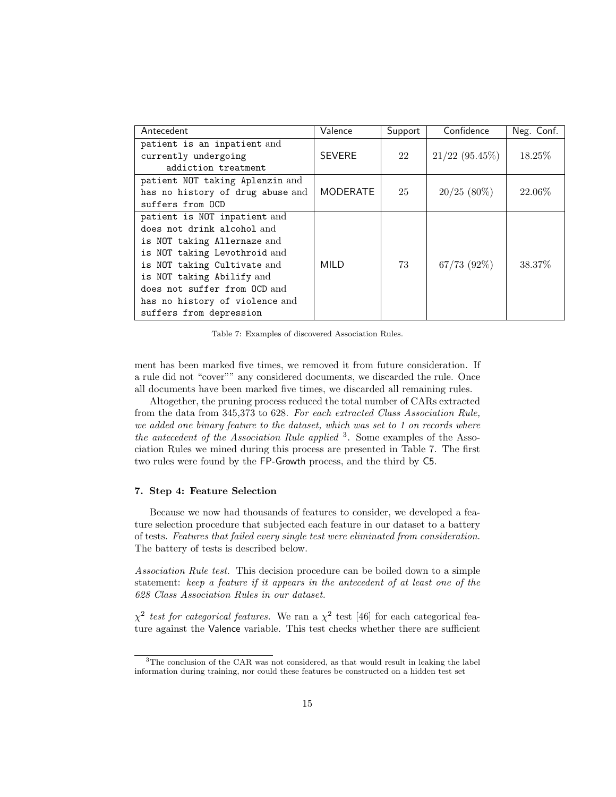| Antecedent                                                                                                                                                                                                                                                                         | Valence         | Support | Confidence       | Neg. Conf. |
|------------------------------------------------------------------------------------------------------------------------------------------------------------------------------------------------------------------------------------------------------------------------------------|-----------------|---------|------------------|------------|
| patient is an inpatient and<br>currently undergoing<br>addiction treatment                                                                                                                                                                                                         | <b>SEVERE</b>   | 22      | $21/22$ (95.45%) | $18.25\%$  |
| patient NOT taking Aplenzin and<br>has no history of drug abuse and<br>suffers from OCD                                                                                                                                                                                            | <b>MODERATE</b> | 25      | $20/25$ (80%)    | 22.06\%    |
| patient is NOT inpatient and<br>does not drink alcohol and<br>is NOT taking Allernaze and<br>is NOT taking Levothroid and<br>is NOT taking Cultivate and<br>is NOT taking Abilify and<br>does not suffer from OCD and<br>has no history of violence and<br>suffers from depression | MILD            | 73      | $67/73$ $(92\%)$ | 38.37%     |

Table 7: Examples of discovered Association Rules.

ment has been marked five times, we removed it from future consideration. If a rule did not "cover"" any considered documents, we discarded the rule. Once all documents have been marked five times, we discarded all remaining rules.

Altogether, the pruning process reduced the total number of CARs extracted from the data from 345,373 to 628. For each extracted Class Association Rule, we added one binary feature to the dataset, which was set to 1 on records where the antecedent of the Association Rule applied <sup>3</sup>. Some examples of the Association Rules we mined during this process are presented in Table 7. The first two rules were found by the FP-Growth process, and the third by C5.

#### 7. Step 4: Feature Selection

Because we now had thousands of features to consider, we developed a feature selection procedure that subjected each feature in our dataset to a battery of tests. Features that failed every single test were eliminated from consideration. The battery of tests is described below.

Association Rule test. This decision procedure can be boiled down to a simple statement: keep a feature if it appears in the antecedent of at least one of the 628 Class Association Rules in our dataset.

 $\chi^2$  test for categorical features. We ran a  $\chi^2$  test [46] for each categorical feature against the Valence variable. This test checks whether there are sufficient

<sup>&</sup>lt;sup>3</sup>The conclusion of the CAR was not considered, as that would result in leaking the label information during training, nor could these features be constructed on a hidden test set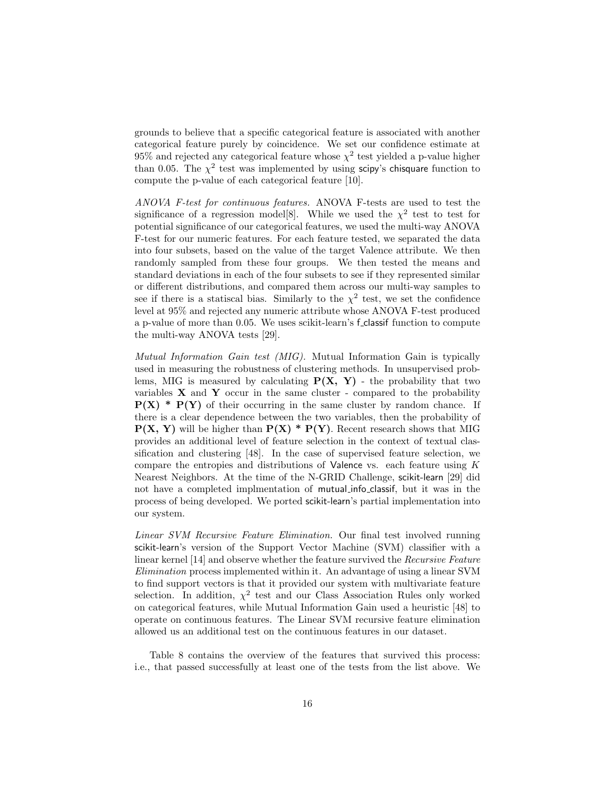grounds to believe that a specific categorical feature is associated with another categorical feature purely by coincidence. We set our confidence estimate at 95% and rejected any categorical feature whose  $\chi^2$  test yielded a p-value higher than 0.05. The  $\chi^2$  test was implemented by using scipy's chisquare function to compute the p-value of each categorical feature [10].

ANOVA F-test for continuous features. ANOVA F-tests are used to test the significance of a regression model [8]. While we used the  $\chi^2$  test to test for potential significance of our categorical features, we used the multi-way ANOVA F-test for our numeric features. For each feature tested, we separated the data into four subsets, based on the value of the target Valence attribute. We then randomly sampled from these four groups. We then tested the means and standard deviations in each of the four subsets to see if they represented similar or different distributions, and compared them across our multi-way samples to see if there is a statiscal bias. Similarly to the  $\chi^2$  test, we set the confidence level at 95% and rejected any numeric attribute whose ANOVA F-test produced a p-value of more than 0.05. We uses scikit-learn's f classif function to compute the multi-way ANOVA tests [29].

Mutual Information Gain test (MIG). Mutual Information Gain is typically used in measuring the robustness of clustering methods. In unsupervised problems, MIG is measured by calculating  $P(X, Y)$  - the probability that two variables  $X$  and  $Y$  occur in the same cluster - compared to the probability  $P(X) * P(Y)$  of their occurring in the same cluster by random chance. If there is a clear dependence between the two variables, then the probability of  $P(X, Y)$  will be higher than  $P(X) * P(Y)$ . Recent research shows that MIG provides an additional level of feature selection in the context of textual classification and clustering [48]. In the case of supervised feature selection, we compare the entropies and distributions of Valence vs. each feature using  $K$ Nearest Neighbors. At the time of the N-GRID Challenge, scikit-learn [29] did not have a completed implmentation of mutual info classif, but it was in the process of being developed. We ported scikit-learn's partial implementation into our system.

Linear SVM Recursive Feature Elimination. Our final test involved running scikit-learn's version of the Support Vector Machine (SVM) classifier with a linear kernel [14] and observe whether the feature survived the Recursive Feature Elimination process implemented within it. An advantage of using a linear SVM to find support vectors is that it provided our system with multivariate feature selection. In addition,  $\chi^2$  test and our Class Association Rules only worked on categorical features, while Mutual Information Gain used a heuristic [48] to operate on continuous features. The Linear SVM recursive feature elimination allowed us an additional test on the continuous features in our dataset.

Table 8 contains the overview of the features that survived this process: i.e., that passed successfully at least one of the tests from the list above. We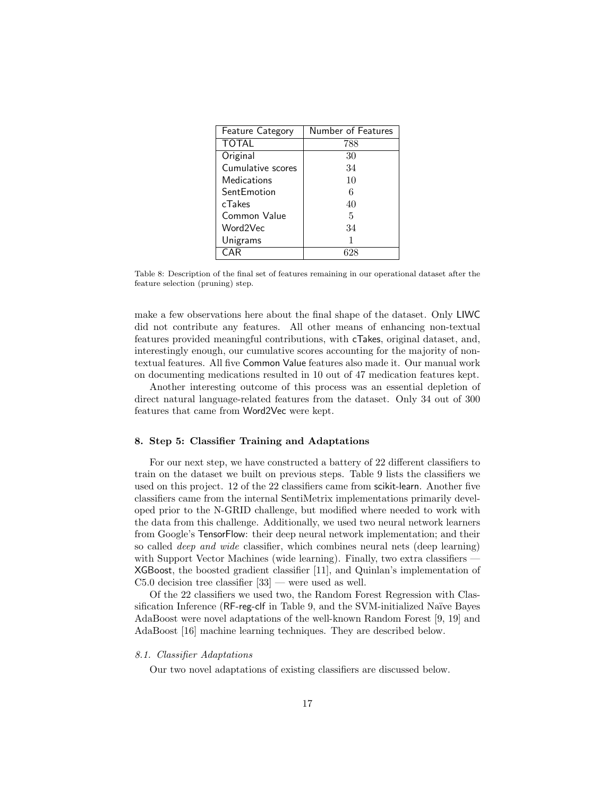| <b>Feature Category</b> | Number of Features |
|-------------------------|--------------------|
| <b>TOTAL</b>            | 788                |
| Original                | 30                 |
| Cumulative scores       | 34                 |
| Medications             | 10                 |
| SentEmotion             | 6                  |
| cTakes                  | 40                 |
| Common Value            | 5                  |
| Word2Vec                | 34                 |
| Unigrams                |                    |
| CAR                     |                    |

Table 8: Description of the final set of features remaining in our operational dataset after the feature selection (pruning) step.

make a few observations here about the final shape of the dataset. Only LIWC did not contribute any features. All other means of enhancing non-textual features provided meaningful contributions, with cTakes, original dataset, and, interestingly enough, our cumulative scores accounting for the majority of nontextual features. All five Common Value features also made it. Our manual work on documenting medications resulted in 10 out of 47 medication features kept.

Another interesting outcome of this process was an essential depletion of direct natural language-related features from the dataset. Only 34 out of 300 features that came from Word2Vec were kept.

### 8. Step 5: Classifier Training and Adaptations

For our next step, we have constructed a battery of 22 different classifiers to train on the dataset we built on previous steps. Table 9 lists the classifiers we used on this project. 12 of the 22 classifiers came from scikit-learn. Another five classifiers came from the internal SentiMetrix implementations primarily developed prior to the N-GRID challenge, but modified where needed to work with the data from this challenge. Additionally, we used two neural network learners from Google's TensorFlow: their deep neural network implementation; and their so called deep and wide classifier, which combines neural nets (deep learning) with Support Vector Machines (wide learning). Finally, two extra classifiers — XGBoost, the boosted gradient classifier [11], and Quinlan's implementation of C5.0 decision tree classifier [33] — were used as well.

Of the 22 classifiers we used two, the Random Forest Regression with Classification Inference (RF-reg-clf in Table 9, and the SVM-initialized Naïve Bayes AdaBoost were novel adaptations of the well-known Random Forest [9, 19] and AdaBoost [16] machine learning techniques. They are described below.

#### 8.1. Classifier Adaptations

Our two novel adaptations of existing classifiers are discussed below.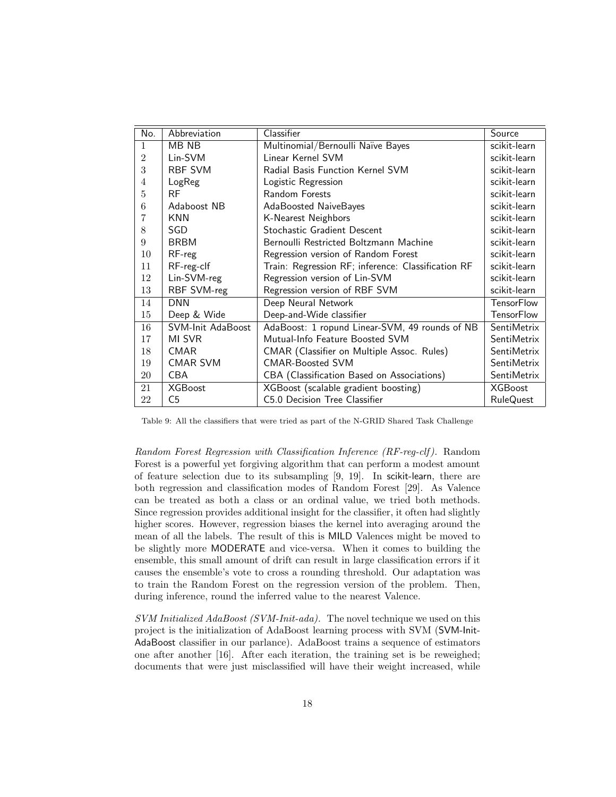| No.            | Abbreviation      | Classifier                                         | Source             |
|----------------|-------------------|----------------------------------------------------|--------------------|
| 1              | MB NB             | Multinomial/Bernoulli Naïve Bayes                  | scikit-learn       |
| $\overline{2}$ | Lin-SVM           | Linear Kernel SVM                                  | scikit-learn       |
| 3              | <b>RBF SVM</b>    | Radial Basis Function Kernel SVM                   | scikit-learn       |
| 4              | LogReg            | Logistic Regression                                | scikit-learn       |
| 5              | RF                | Random Forests                                     | scikit-learn       |
| 6              | Adaboost NB       | AdaBoosted NaiveBayes                              | scikit-learn       |
|                | KNN               | K-Nearest Neighbors                                | scikit-learn       |
| 8              | SGD               | Stochastic Gradient Descent                        | scikit-learn       |
| 9              | <b>BRBM</b>       | Bernoulli Restricted Boltzmann Machine             | scikit-learn       |
| 10             | RF-reg            | Regression version of Random Forest                | scikit-learn       |
| 11             | RF-reg-clf        | Train: Regression RF; inference: Classification RF | scikit-learn       |
| 12             | Lin-SVM-reg       | Regression version of Lin-SVM                      | scikit-learn       |
| 13             | RBF SVM-reg       | Regression version of RBF SVM                      | scikit-learn       |
| 14             | <b>DNN</b>        | Deep Neural Network                                | <b>TensorFlow</b>  |
| 15             | Deep & Wide       | Deep-and-Wide classifier                           | <b>TensorFlow</b>  |
| 16             | SVM-Init AdaBoost | AdaBoost: 1 ropund Linear-SVM, 49 rounds of NB     | SentiMetrix        |
| 17             | MI SVR            | Mutual-Info Feature Boosted SVM                    | <b>SentiMetrix</b> |
| 18             | <b>CMAR</b>       | CMAR (Classifier on Multiple Assoc. Rules)         | <b>SentiMetrix</b> |
| 19             | <b>CMAR SVM</b>   | <b>CMAR-Boosted SVM</b>                            | SentiMetrix        |
| 20             | <b>CBA</b>        | CBA (Classification Based on Associations)         | <b>SentiMetrix</b> |
| 21             | <b>XGBoost</b>    | XGBoost (scalable gradient boosting)               | <b>XGBoost</b>     |
| 22             | C <sub>5</sub>    | C5.0 Decision Tree Classifier                      | RuleQuest          |

Table 9: All the classifiers that were tried as part of the N-GRID Shared Task Challenge

Random Forest Regression with Classification Inference (RF-reg-clf ). Random Forest is a powerful yet forgiving algorithm that can perform a modest amount of feature selection due to its subsampling [9, 19]. In scikit-learn, there are both regression and classification modes of Random Forest [29]. As Valence can be treated as both a class or an ordinal value, we tried both methods. Since regression provides additional insight for the classifier, it often had slightly higher scores. However, regression biases the kernel into averaging around the mean of all the labels. The result of this is MILD Valences might be moved to be slightly more MODERATE and vice-versa. When it comes to building the ensemble, this small amount of drift can result in large classification errors if it causes the ensemble's vote to cross a rounding threshold. Our adaptation was to train the Random Forest on the regression version of the problem. Then, during inference, round the inferred value to the nearest Valence.

SVM Initialized AdaBoost (SVM-Init-ada). The novel technique we used on this project is the initialization of AdaBoost learning process with SVM (SVM-Init-AdaBoost classifier in our parlance). AdaBoost trains a sequence of estimators one after another [16]. After each iteration, the training set is be reweighed; documents that were just misclassified will have their weight increased, while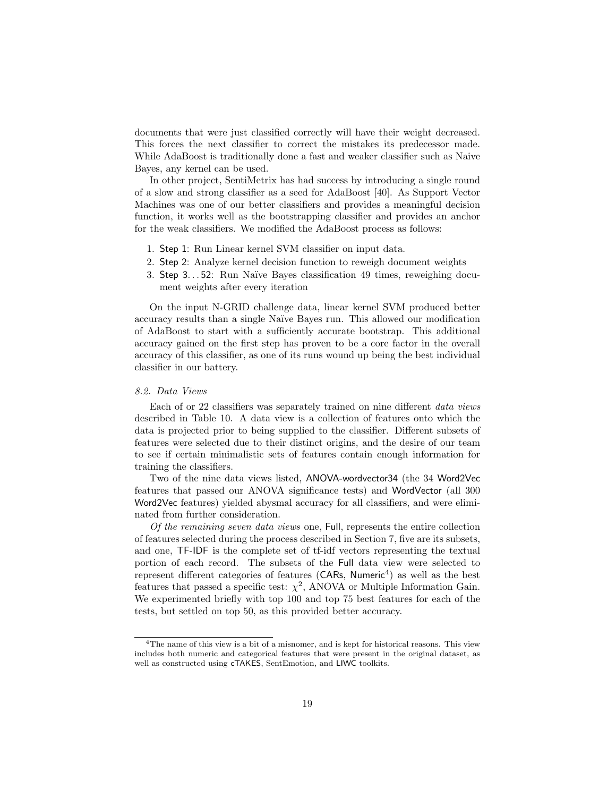documents that were just classified correctly will have their weight decreased. This forces the next classifier to correct the mistakes its predecessor made. While AdaBoost is traditionally done a fast and weaker classifier such as Naive Bayes, any kernel can be used.

In other project, SentiMetrix has had success by introducing a single round of a slow and strong classifier as a seed for AdaBoost [40]. As Support Vector Machines was one of our better classifiers and provides a meaningful decision function, it works well as the bootstrapping classifier and provides an anchor for the weak classifiers. We modified the AdaBoost process as follows:

- 1. Step 1: Run Linear kernel SVM classifier on input data.
- 2. Step 2: Analyze kernel decision function to reweigh document weights
- 3. Step 3. . . 52: Run Naïve Bayes classification 49 times, reweighing document weights after every iteration

On the input N-GRID challenge data, linear kernel SVM produced better accuracy results than a single Naïve Bayes run. This allowed our modification of AdaBoost to start with a sufficiently accurate bootstrap. This additional accuracy gained on the first step has proven to be a core factor in the overall accuracy of this classifier, as one of its runs wound up being the best individual classifier in our battery.

### 8.2. Data Views

Each of or 22 classifiers was separately trained on nine different data views described in Table 10. A data view is a collection of features onto which the data is projected prior to being supplied to the classifier. Different subsets of features were selected due to their distinct origins, and the desire of our team to see if certain minimalistic sets of features contain enough information for training the classifiers.

Two of the nine data views listed, ANOVA-wordvector34 (the 34 Word2Vec features that passed our ANOVA significance tests) and WordVector (all 300 Word2Vec features) yielded abysmal accuracy for all classifiers, and were eliminated from further consideration.

Of the remaining seven data views one, Full, represents the entire collection of features selected during the process described in Section 7, five are its subsets, and one, TF-IDF is the complete set of tf-idf vectors representing the textual portion of each record. The subsets of the Full data view were selected to represent different categories of features ( $CARs$ ,  $Numberic<sup>4</sup>$ ) as well as the best features that passed a specific test:  $\chi^2$ , ANOVA or Multiple Information Gain. We experimented briefly with top 100 and top 75 best features for each of the tests, but settled on top 50, as this provided better accuracy.

<sup>&</sup>lt;sup>4</sup>The name of this view is a bit of a misnomer, and is kept for historical reasons. This view includes both numeric and categorical features that were present in the original dataset, as well as constructed using cTAKES, SentEmotion, and LIWC toolkits.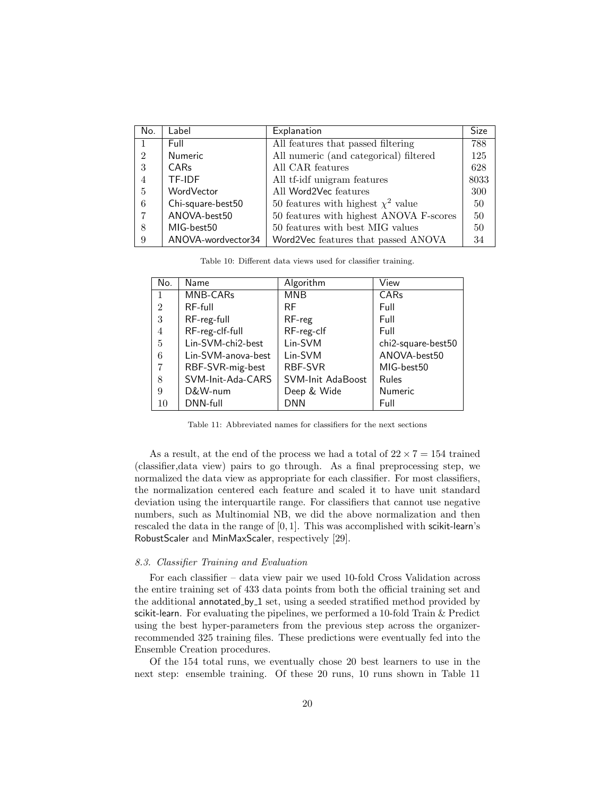| No.            | Label              | Explanation                             | <b>Size</b> |
|----------------|--------------------|-----------------------------------------|-------------|
|                | Full               | All features that passed filtering      | 788         |
| $\overline{2}$ | <b>Numeric</b>     | All numeric (and categorical) filtered  | 125         |
| 3              | <b>CARs</b>        | All CAR features                        | 628         |
| $\overline{4}$ | TF-IDF             | All tf-idf unigram features             | 8033        |
| 5              | WordVector         | All Word2Vec features                   | 300         |
| 6              | Chi-square-best50  | 50 features with highest $\chi^2$ value | 50          |
|                | ANOVA-best50       | 50 features with highest ANOVA F-scores | 50          |
| 8              | MIG-best50         | 50 features with best MIG values        | 50          |
| 9              | ANOVA-wordvector34 | Word2Vec features that passed ANOVA     | 34          |

| Table 10. Different data views used for classifier training. |  |
|--------------------------------------------------------------|--|
|--------------------------------------------------------------|--|

| No.            | Name               | Algorithm         | View               |
|----------------|--------------------|-------------------|--------------------|
| $\mathbf{1}$   | MNB-CARs           | MNB               | CARs               |
| $\overline{2}$ | $RF$ -full         | <b>RF</b>         | Full               |
| 3              | RF-reg-full        | RF-reg            | Full               |
| 4              | RF-reg-clf-full    | RF-reg-clf        | Full               |
| 5              | Lin-SVM-chi2-best  | Lin-SVM           | chi2-square-best50 |
| 6              | Lin-SVM-anova-best | Lin-SVM           | ANOVA-best50       |
| 7              | RBF-SVR-mig-best   | RBF-SVR           | MIG-best50         |
| 8              | SVM-Init-Ada-CARS  | SVM-Init AdaBoost | Rules              |
| 9              | D&W-num            | Deep & Wide       | Numeric            |
| 10             | DNN-full           | <b>DNN</b>        | Full               |

Table 11: Abbreviated names for classifiers for the next sections

As a result, at the end of the process we had a total of  $22 \times 7 = 154$  trained (classifier,data view) pairs to go through. As a final preprocessing step, we normalized the data view as appropriate for each classifier. For most classifiers, the normalization centered each feature and scaled it to have unit standard deviation using the interquartile range. For classifiers that cannot use negative numbers, such as Multinomial NB, we did the above normalization and then rescaled the data in the range of [0, 1]. This was accomplished with scikit-learn's RobustScaler and MinMaxScaler, respectively [29].

#### 8.3. Classifier Training and Evaluation

For each classifier – data view pair we used 10-fold Cross Validation across the entire training set of 433 data points from both the official training set and the additional annotated by 1 set, using a seeded stratified method provided by scikit-learn. For evaluating the pipelines, we performed a 10-fold Train & Predict using the best hyper-parameters from the previous step across the organizerrecommended 325 training files. These predictions were eventually fed into the Ensemble Creation procedures.

Of the 154 total runs, we eventually chose 20 best learners to use in the next step: ensemble training. Of these 20 runs, 10 runs shown in Table 11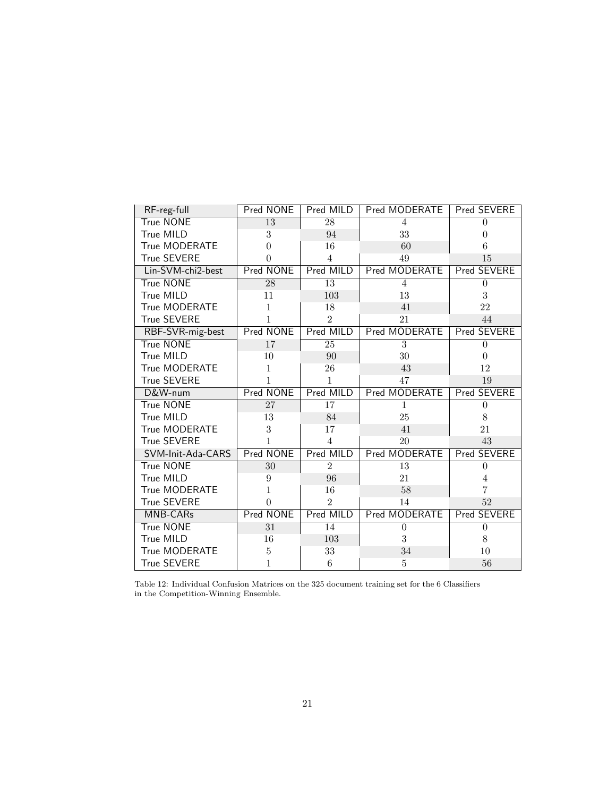| RF-reg-full        | Pred NONE       | Pred MILD       | Pred MODERATE   | Pred SEVERE        |
|--------------------|-----------------|-----------------|-----------------|--------------------|
| <b>True NONE</b>   | 13              | $\overline{28}$ | $\overline{4}$  | $\theta$           |
| True MILD          | 3               | 94              | 33              | $\theta$           |
| True MODERATE      | $\theta$        | 16              | 60              | 6                  |
| <b>True SEVERE</b> | 0               | $\overline{4}$  | 49              | 15                 |
| Lin-SVM-chi2-best  | Pred NONE       | Pred MILD       | Pred MODERATE   | Pred SEVERE        |
| <b>True NONE</b>   | 28              | $\overline{13}$ | $\overline{4}$  | $\theta$           |
| True MILD          | 11              | 103             | 13              | 3                  |
| True MODERATE      | 1               | 18              | 41              | 22                 |
| <b>True SEVERE</b> | 1               | $\overline{2}$  | 21              | 44                 |
| RBF-SVR-mig-best   | Pred NONE       | Pred MILD       | Pred MODERATE   | <b>Pred SEVERE</b> |
| <b>True NONE</b>   | $\overline{17}$ | $\overline{25}$ | $\overline{3}$  | $\overline{0}$     |
| True MILD          | 10              | 90              | 30              | $\theta$           |
| True MODERATE      | $\mathbf{1}$    | 26              | 43              | 12                 |
| <b>True SEVERE</b> | 1               | 1               | 47              | 19                 |
| D&W-num            | Pred NONE       | Pred MILD       | Pred MODERATE   | <b>Pred SEVERE</b> |
| <b>True NONE</b>   | 27              | 17              | $\mathbf{1}$    | $\theta$           |
| True MILD          | 13              | 84              | 25              | 8                  |
| True MODERATE      | 3               | 17              | 41              | 21                 |
| <b>True SEVERE</b> | 1               | $\overline{4}$  | 20              | 43                 |
| SVM-Init-Ada-CARS  | Pred NONE       | Pred MILD       | Pred MODERATE   | <b>Pred SEVERE</b> |
| <b>True NONE</b>   | $\overline{30}$ | $\overline{2}$  | $\overline{13}$ | $\boldsymbol{0}$   |
| True MILD          | 9               | 96              | 21              | 4                  |
| True MODERATE      | 1               | 16              | 58              | 7                  |
| <b>True SEVERE</b> | 0               | $\overline{2}$  | 14              | 52                 |
| MNB-CARs           | Pred NONE       | Pred MILD       | Pred MODERATE   | Pred SEVERE        |
| <b>True NONE</b>   | 31              | 14              | $\overline{0}$  | $\theta$           |
| True MILD          | 16              | 103             | 3               | 8                  |
| True MODERATE      | 5               | 33              | 34              | 10                 |
| <b>True SEVERE</b> | 1               | $\,6$           | $\bf 5$         | 56                 |

Table 12: Individual Confusion Matrices on the 325 document training set for the 6 Classifiers in the Competition-Winning Ensemble.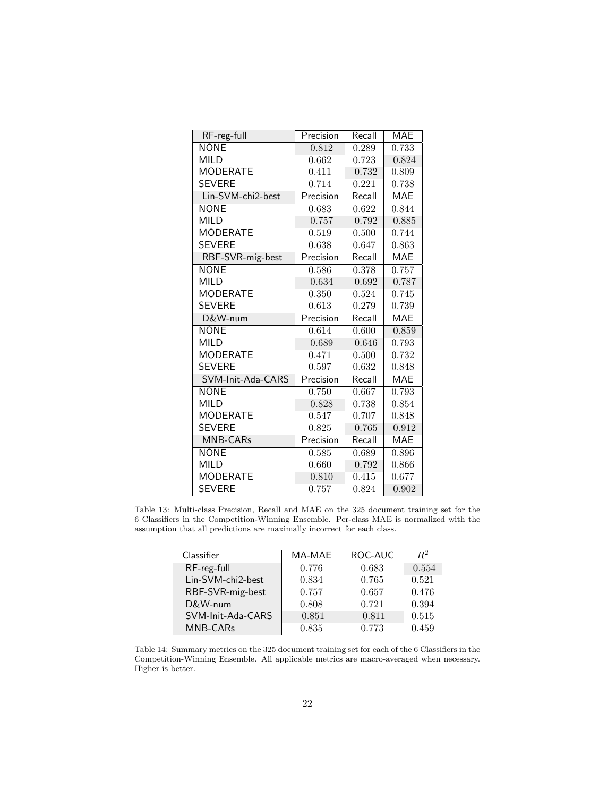| RF-reg-full       | Precision | Recall | <b>MAE</b> |
|-------------------|-----------|--------|------------|
| <b>NONE</b>       | 0.812     | 0.289  | 0.733      |
| <b>MILD</b>       | 0.662     | 0.723  | 0.824      |
| <b>MODERATE</b>   | 0.411     | 0.732  | 0.809      |
| <b>SEVERE</b>     | 0.714     | 0.221  | 0.738      |
| Lin-SVM-chi2-best | Precision | Recall | <b>MAE</b> |
| <b>NONE</b>       | 0.683     | 0.622  | 0.844      |
| MII D             | 0.757     | 0.792  | 0.885      |
| <b>MODERATE</b>   | 0.519     | 0.500  | 0.744      |
| <b>SEVERE</b>     | 0.638     | 0.647  | 0.863      |
| RBF-SVR-mig-best  | Precision | Recall | MAE        |
| <b>NONE</b>       | 0.586     | 0.378  | 0.757      |
| <b>MILD</b>       | 0.634     | 0.692  | 0.787      |
| <b>MODERATE</b>   | 0.350     | 0.524  | 0.745      |
| <b>SEVERE</b>     | 0.613     | 0.279  | 0.739      |
| D&W-num           | Precision | Recall | <b>MAE</b> |
| <b>NONE</b>       | 0.614     | 0.600  | 0.859      |
| <b>MILD</b>       | 0.689     | 0.646  | 0.793      |
| <b>MODERATE</b>   | 0.471     | 0.500  | 0.732      |
| <b>SEVERE</b>     | 0.597     | 0.632  | 0.848      |
| SVM-Init-Ada-CARS | Precision | Recall | MAE        |
| <b>NONE</b>       | 0.750     | 0.667  | 0.793      |
| <b>MILD</b>       | 0.828     | 0.738  | 0.854      |
| <b>MODERATE</b>   | 0.547     | 0.707  | 0.848      |
| <b>SEVERE</b>     | 0.825     | 0.765  | 0.912      |
| <b>MNB-CARs</b>   | Precision | Recall | <b>MAE</b> |
| <b>NONE</b>       | 0.585     | 0.689  | 0.896      |
| <b>MILD</b>       | 0.660     | 0.792  | 0.866      |
| <b>MODERATE</b>   | 0.810     | 0.415  | 0.677      |
| SEVERE            | 0.757     | 0.824  | 0.902      |

Table 13: Multi-class Precision, Recall and MAE on the 325 document training set for the 6 Classifiers in the Competition-Winning Ensemble. Per-class MAE is normalized with the assumption that all predictions are maximally incorrect for each class.

| Classifier        | MA-MAE | ROC-AUC | $R^2$ |
|-------------------|--------|---------|-------|
| RF-reg-full       | 0.776  | 0.683   | 0.554 |
| Lin-SVM-chi2-best | 0.834  | 0.765   | 0.521 |
| RBF-SVR-mig-best  | 0.757  | 0.657   | 0.476 |
| D&W-num           | 0.808  | 0.721   | 0.394 |
| SVM-Init-Ada-CARS | 0.851  | 0.811   | 0.515 |
| MNB-CARs          | 0.835  | 0.773   | 0.459 |

Table 14: Summary metrics on the 325 document training set for each of the 6 Classifiers in the Competition-Winning Ensemble. All applicable metrics are macro-averaged when necessary. Higher is better.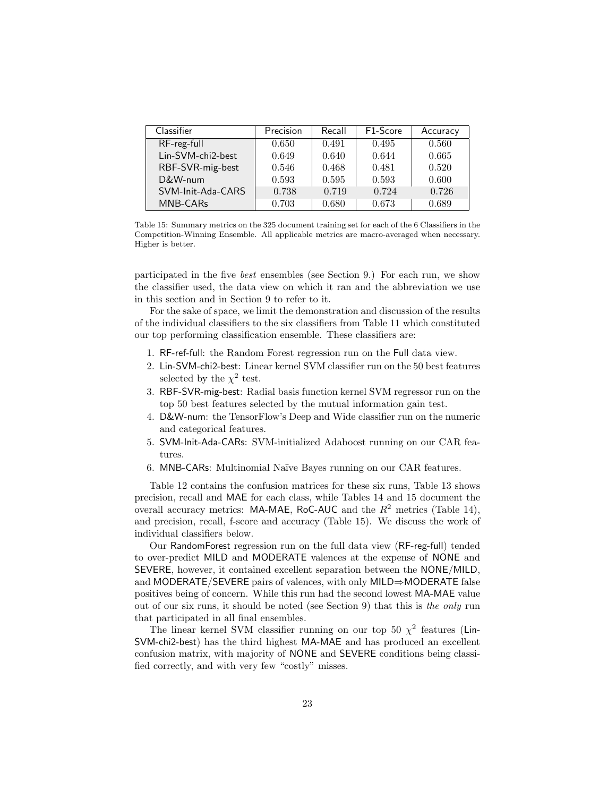| Classifier        | Precision | Recall | F <sub>1</sub> -Score | Accuracy |
|-------------------|-----------|--------|-----------------------|----------|
| RF-reg-full       | 0.650     | 0.491  | 0.495                 | 0.560    |
| Lin-SVM-chi2-best | 0.649     | 0.640  | 0.644                 | 0.665    |
| RBF-SVR-mig-best  | 0.546     | 0.468  | 0.481                 | 0.520    |
| D&W-num           | 0.593     | 0.595  | 0.593                 | 0.600    |
| SVM-Init-Ada-CARS | 0.738     | 0.719  | 0.724                 | 0.726    |
| MNB-CARs          | 0.703     | 0.680  | 0.673                 | 0.689    |

Table 15: Summary metrics on the 325 document training set for each of the 6 Classifiers in the Competition-Winning Ensemble. All applicable metrics are macro-averaged when necessary. Higher is better.

participated in the five best ensembles (see Section 9.) For each run, we show the classifier used, the data view on which it ran and the abbreviation we use in this section and in Section 9 to refer to it.

For the sake of space, we limit the demonstration and discussion of the results of the individual classifiers to the six classifiers from Table 11 which constituted our top performing classification ensemble. These classifiers are:

- 1. RF-ref-full: the Random Forest regression run on the Full data view.
- 2. Lin-SVM-chi2-best: Linear kernel SVM classifier run on the 50 best features selected by the  $\chi^2$  test.
- 3. RBF-SVR-mig-best: Radial basis function kernel SVM regressor run on the top 50 best features selected by the mutual information gain test.
- 4. D&W-num: the TensorFlow's Deep and Wide classifier run on the numeric and categorical features.
- 5. SVM-Init-Ada-CARs: SVM-initialized Adaboost running on our CAR features.
- 6. MNB-CARs: Multinomial Na¨ıve Bayes running on our CAR features.

Table 12 contains the confusion matrices for these six runs, Table 13 shows precision, recall and MAE for each class, while Tables 14 and 15 document the overall accuracy metrics: MA-MAE, RoC-AUC and the  $R^2$  metrics (Table 14), and precision, recall, f-score and accuracy (Table 15). We discuss the work of individual classifiers below.

Our RandomForest regression run on the full data view (RF-reg-full) tended to over-predict MILD and MODERATE valences at the expense of NONE and SEVERE, however, it contained excellent separation between the NONE/MILD, and MODERATE/SEVERE pairs of valences, with only MILD⇒MODERATE false positives being of concern. While this run had the second lowest MA-MAE value out of our six runs, it should be noted (see Section 9) that this is the only run that participated in all final ensembles.

The linear kernel SVM classifier running on our top 50  $\chi^2$  features (Lin-SVM-chi2-best) has the third highest MA-MAE and has produced an excellent confusion matrix, with majority of NONE and SEVERE conditions being classified correctly, and with very few "costly" misses.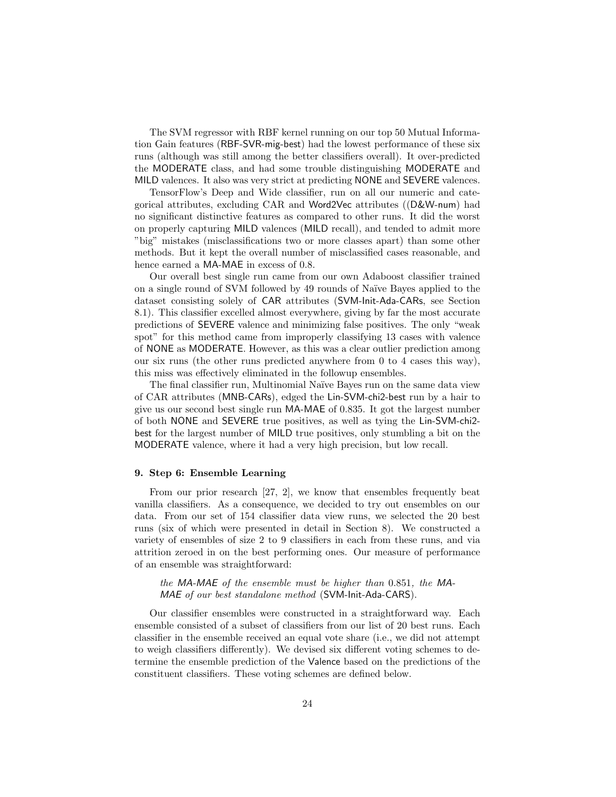The SVM regressor with RBF kernel running on our top 50 Mutual Information Gain features (RBF-SVR-mig-best) had the lowest performance of these six runs (although was still among the better classifiers overall). It over-predicted the MODERATE class, and had some trouble distinguishing MODERATE and MILD valences. It also was very strict at predicting NONE and SEVERE valences.

TensorFlow's Deep and Wide classifier, run on all our numeric and categorical attributes, excluding CAR and Word2Vec attributes ((D&W-num) had no significant distinctive features as compared to other runs. It did the worst on properly capturing MILD valences (MILD recall), and tended to admit more "big" mistakes (misclassifications two or more classes apart) than some other methods. But it kept the overall number of misclassified cases reasonable, and hence earned a MA-MAE in excess of 0.8.

Our overall best single run came from our own Adaboost classifier trained on a single round of SVM followed by 49 rounds of Na¨ıve Bayes applied to the dataset consisting solely of CAR attributes (SVM-Init-Ada-CARs, see Section 8.1). This classifier excelled almost everywhere, giving by far the most accurate predictions of SEVERE valence and minimizing false positives. The only "weak spot" for this method came from improperly classifying 13 cases with valence of NONE as MODERATE. However, as this was a clear outlier prediction among our six runs (the other runs predicted anywhere from 0 to 4 cases this way), this miss was effectively eliminated in the followup ensembles.

The final classifier run, Multinomial Naïve Bayes run on the same data view of CAR attributes (MNB-CARs), edged the Lin-SVM-chi2-best run by a hair to give us our second best single run MA-MAE of 0.835. It got the largest number of both NONE and SEVERE true positives, as well as tying the Lin-SVM-chi2 best for the largest number of MILD true positives, only stumbling a bit on the MODERATE valence, where it had a very high precision, but low recall.

#### 9. Step 6: Ensemble Learning

From our prior research [27, 2], we know that ensembles frequently beat vanilla classifiers. As a consequence, we decided to try out ensembles on our data. From our set of 154 classifier data view runs, we selected the 20 best runs (six of which were presented in detail in Section 8). We constructed a variety of ensembles of size 2 to 9 classifiers in each from these runs, and via attrition zeroed in on the best performing ones. Our measure of performance of an ensemble was straightforward:

the MA-MAE of the ensemble must be higher than 0.851, the MA-MAE of our best standalone method (SVM-Init-Ada-CARS).

Our classifier ensembles were constructed in a straightforward way. Each ensemble consisted of a subset of classifiers from our list of 20 best runs. Each classifier in the ensemble received an equal vote share (i.e., we did not attempt to weigh classifiers differently). We devised six different voting schemes to determine the ensemble prediction of the Valence based on the predictions of the constituent classifiers. These voting schemes are defined below.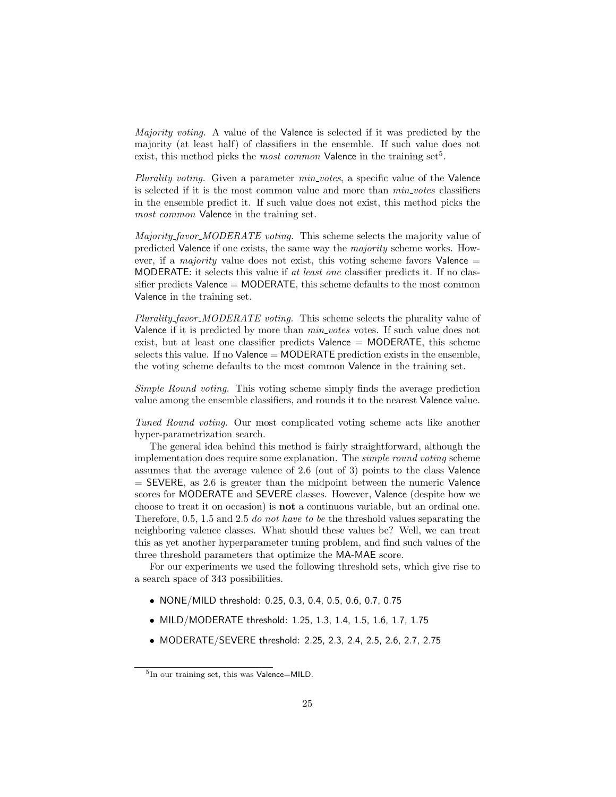Majority voting. A value of the Valence is selected if it was predicted by the majority (at least half) of classifiers in the ensemble. If such value does not exist, this method picks the *most common* Valence in the training set<sup>5</sup>.

Plurality voting. Given a parameter min votes, a specific value of the Valence is selected if it is the most common value and more than  $min_votes$  classifiers in the ensemble predict it. If such value does not exist, this method picks the most common Valence in the training set.

Majority\_favor\_MODERATE voting. This scheme selects the majority value of predicted Valence if one exists, the same way the majority scheme works. However, if a *majority* value does not exist, this voting scheme favors Valence  $=$ MODERATE: it selects this value if at least one classifier predicts it. If no classifier predicts  $Valence = MODERATE$ , this scheme defaults to the most common Valence in the training set.

Plurality\_favor\_MODERATE voting. This scheme selects the plurality value of Valence if it is predicted by more than  $min\_votes$  votes. If such value does not exist, but at least one classifier predicts Valence = MODERATE, this scheme selects this value. If no  $Valence = MODERATE$  prediction exists in the ensemble, the voting scheme defaults to the most common Valence in the training set.

Simple Round voting. This voting scheme simply finds the average prediction value among the ensemble classifiers, and rounds it to the nearest Valence value.

Tuned Round voting. Our most complicated voting scheme acts like another hyper-parametrization search.

The general idea behind this method is fairly straightforward, although the implementation does require some explanation. The simple round voting scheme assumes that the average valence of 2.6 (out of 3) points to the class Valence  $=$  SEVERE, as 2.6 is greater than the midpoint between the numeric Valence scores for MODERATE and SEVERE classes. However, Valence (despite how we choose to treat it on occasion) is not a continuous variable, but an ordinal one. Therefore, 0.5, 1.5 and 2.5 do not have to be the threshold values separating the neighboring valence classes. What should these values be? Well, we can treat this as yet another hyperparameter tuning problem, and find such values of the three threshold parameters that optimize the MA-MAE score.

For our experiments we used the following threshold sets, which give rise to a search space of 343 possibilities.

- NONE/MILD threshold: 0.25, 0.3, 0.4, 0.5, 0.6, 0.7, 0.75
- MILD/MODERATE threshold: 1.25, 1.3, 1.4, 1.5, 1.6, 1.7, 1.75
- MODERATE/SEVERE threshold: 2.25, 2.3, 2.4, 2.5, 2.6, 2.7, 2.75

<sup>&</sup>lt;sup>5</sup>In our training set, this was Valence=MILD.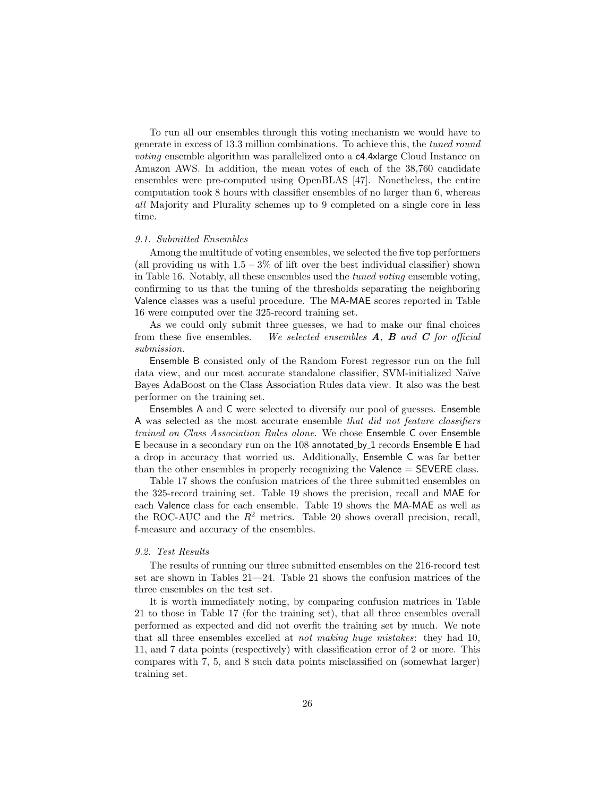To run all our ensembles through this voting mechanism we would have to generate in excess of 13.3 million combinations. To achieve this, the tuned round voting ensemble algorithm was parallelized onto a c4.4xlarge Cloud Instance on Amazon AWS. In addition, the mean votes of each of the 38,760 candidate ensembles were pre-computed using OpenBLAS [47]. Nonetheless, the entire computation took 8 hours with classifier ensembles of no larger than 6, whereas all Majority and Plurality schemes up to 9 completed on a single core in less time.

#### 9.1. Submitted Ensembles

Among the multitude of voting ensembles, we selected the five top performers (all providing us with  $1.5 - 3\%$  of lift over the best individual classifier) shown in Table 16. Notably, all these ensembles used the tuned voting ensemble voting, confirming to us that the tuning of the thresholds separating the neighboring Valence classes was a useful procedure. The MA-MAE scores reported in Table 16 were computed over the 325-record training set.

As we could only submit three guesses, we had to make our final choices from these five ensembles. We selected ensembles  $A$ ,  $B$  and  $C$  for official submission.

Ensemble B consisted only of the Random Forest regressor run on the full data view, and our most accurate standalone classifier, SVM-initialized Naïve Bayes AdaBoost on the Class Association Rules data view. It also was the best performer on the training set.

Ensembles A and C were selected to diversify our pool of guesses. Ensemble A was selected as the most accurate ensemble that did not feature classifiers trained on Class Association Rules alone. We chose Ensemble C over Ensemble E because in a secondary run on the 108 annotated by 1 records Ensemble E had a drop in accuracy that worried us. Additionally, Ensemble C was far better than the other ensembles in properly recognizing the Valence  $=$  SEVERE class.

Table 17 shows the confusion matrices of the three submitted ensembles on the 325-record training set. Table 19 shows the precision, recall and MAE for each Valence class for each ensemble. Table 19 shows the MA-MAE as well as the ROC-AUC and the  $R^2$  metrics. Table 20 shows overall precision, recall, f-measure and accuracy of the ensembles.

#### 9.2. Test Results

The results of running our three submitted ensembles on the 216-record test set are shown in Tables 21—24. Table 21 shows the confusion matrices of the three ensembles on the test set.

It is worth immediately noting, by comparing confusion matrices in Table 21 to those in Table 17 (for the training set), that all three ensembles overall performed as expected and did not overfit the training set by much. We note that all three ensembles excelled at not making huge mistakes: they had 10, 11, and 7 data points (respectively) with classification error of 2 or more. This compares with 7, 5, and 8 such data points misclassified on (somewhat larger) training set.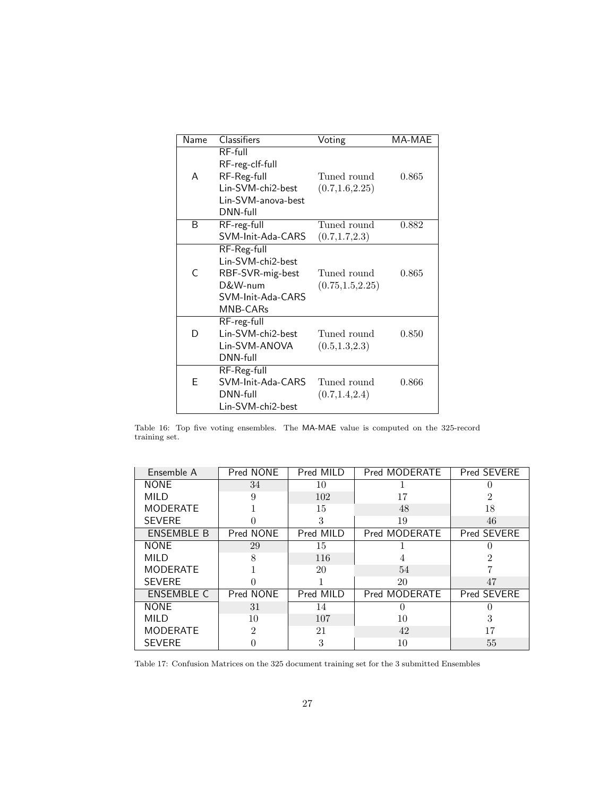| Name | <b>Classifiers</b>                | Voting            | MA-MAE |
|------|-----------------------------------|-------------------|--------|
|      | $RF$ -full<br>RF-reg-clf-full     |                   |        |
| A    | RF-Reg-full                       | Tuned round       | 0.865  |
|      | Lin-SVM-chi2-best                 | (0.7, 1.6, 2.25)  |        |
|      | Lin-SVM-anova-best<br>$DNN$ -full |                   |        |
| B    | RF-reg-full                       | Tuned round       | 0.882  |
|      | SVM-Init-Ada-CARS                 | (0.7, 1.7, 2.3)   |        |
|      | RF-Reg-full                       |                   |        |
|      | Lin-SVM-chi2-best                 |                   |        |
| C    | RBF-SVR-mig-best                  | Tuned round       | 0.865  |
|      | D&W-num                           | (0.75, 1.5, 2.25) |        |
|      | SVM-Init-Ada-CARS                 |                   |        |
|      | MNB-CARs                          |                   |        |
|      | RF-reg-full                       |                   |        |
| D    | Lin-SVM-chi2-best                 | Tuned round       | 0.850  |
|      | Lin-SVM-ANOVA                     | (0.5, 1.3, 2.3)   |        |
|      | DNN-full                          |                   |        |
|      | RF-Reg-full                       |                   |        |
| F    | SVM-Init-Ada-CARS                 | Tuned round       | 0.866  |
|      | $DNN$ -full                       | (0.7, 1.4, 2.4)   |        |
|      | Lin-SVM-chi2-best                 |                   |        |

Table 16: Top five voting ensembles. The MA-MAE value is computed on the 325-record training set.

| Ensemble A        | Pred NONE | Pred MILD | Pred MODERATE | Pred SEVERE |
|-------------------|-----------|-----------|---------------|-------------|
| <b>NONE</b>       | 34        | 10        |               | 0           |
| MILD              | 9         | 102       | 17            | 2           |
| <b>MODERATE</b>   |           | 15        | 48            | 18          |
| <b>SEVERE</b>     |           | 3         | 19            | 46          |
| <b>ENSEMBLE B</b> | Pred NONE | Pred MILD | Pred MODERATE | Pred SEVERE |
| <b>NONE</b>       | 29        | 15        |               |             |
| MILD              | 8         | 116       |               | 2           |
| <b>MODERATE</b>   |           | 20        | 54            |             |
| <b>SEVERE</b>     |           |           | 20            | 47          |
| <b>ENSEMBLE C</b> | Pred NONE | Pred MILD | Pred MODERATE | Pred SEVERE |
| <b>NONE</b>       | 31        | 14        |               |             |
| <b>MILD</b>       | 10        | 107       | 10            | 3           |
| <b>MODERATE</b>   | 2         | 21        | 42            | 17          |
| <b>SEVERE</b>     |           | 3         | 10            | 55          |

Table 17: Confusion Matrices on the 325 document training set for the 3 submitted Ensembles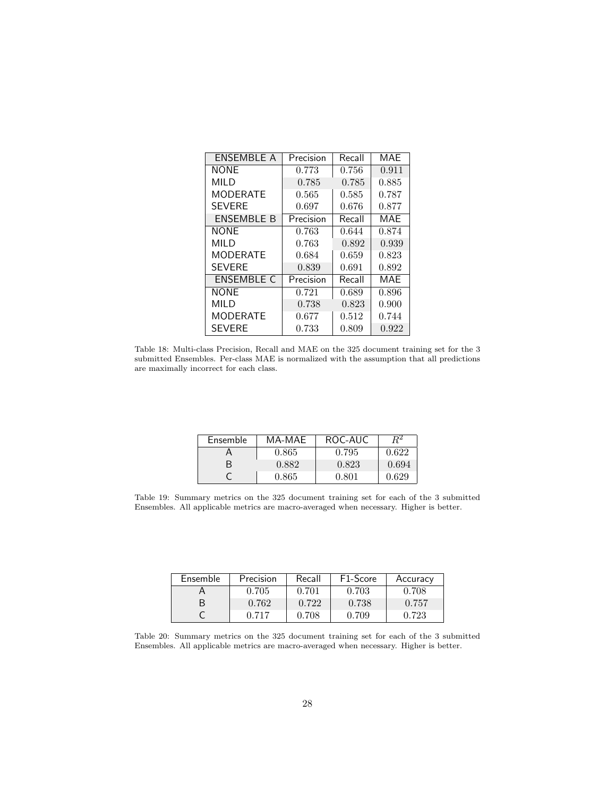| ENSEMBLE A        | Precision | Recall | MAF   |
|-------------------|-----------|--------|-------|
| <b>NONE</b>       | 0.773     | 0.756  | 0.911 |
| MILD              | 0.785     | 0.785  | 0.885 |
| <b>MODERATE</b>   | 0.565     | 0.585  | 0.787 |
| <b>SEVERE</b>     | 0.697     | 0.676  | 0.877 |
| <b>ENSEMBLE B</b> | Precision | Recall | MAE   |
| <b>NONE</b>       | 0.763     | 0.644  | 0.874 |
| MILD              | 0.763     | 0.892  | 0.939 |
| <b>MODERATE</b>   | 0.684     | 0.659  | 0.823 |
| <b>SEVERE</b>     | 0.839     | 0.691  | 0.892 |
| <b>ENSEMBLE C</b> | Precision | Recall | MAF   |
| <b>NONE</b>       | 0.721     | 0.689  | 0.896 |
| MILD              | 0.738     | 0.823  | 0.900 |
| <b>MODERATE</b>   | 0.677     | 0.512  | 0.744 |
| <b>SEVERE</b>     | 0.733     | 0.809  | 0.922 |

Table 18: Multi-class Precision, Recall and MAE on the 325 document training set for the 3 submitted Ensembles. Per-class MAE is normalized with the assumption that all predictions are maximally incorrect for each class.

| Ensemble | MA-MAE      | ROC-AUC |       |
|----------|-------------|---------|-------|
|          | 0.865       | 0.795   | 0.622 |
|          | 0.882       | 0.823   | 0.694 |
|          | $\,0.865\,$ | A 801   | 0.629 |

Table 19: Summary metrics on the 325 document training set for each of the 3 submitted Ensembles. All applicable metrics are macro-averaged when necessary. Higher is better.

| Ensemble | Precision | Recall | F <sub>1</sub> -Score | Accuracy |
|----------|-----------|--------|-----------------------|----------|
|          | 0.705     | 0.701  | 0.703                 | 0.708    |
| R        | 0.762     | 0.722  | 0.738                 | 0.757    |
|          | 0.717     | 0.708  | 0.709                 | 0.723    |

Table 20: Summary metrics on the 325 document training set for each of the 3 submitted Ensembles. All applicable metrics are macro-averaged when necessary. Higher is better.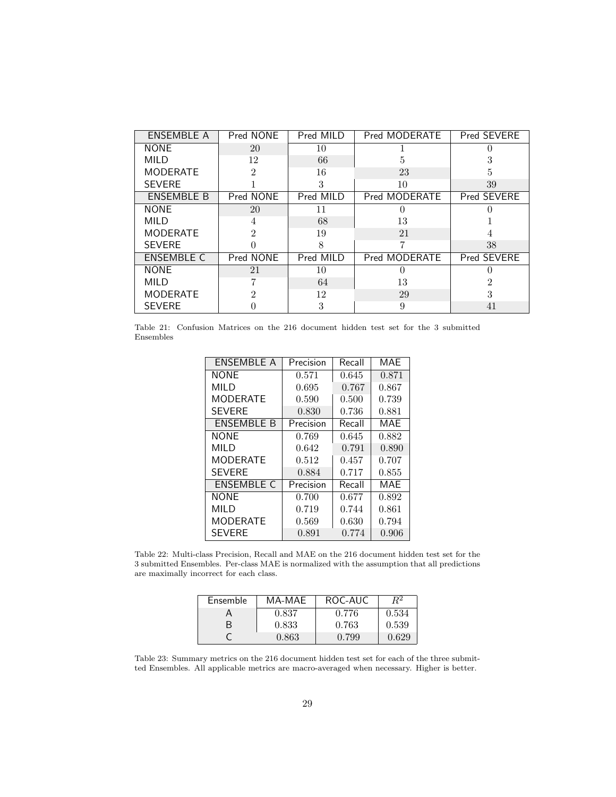| ENSEMBLE A        | Pred NONE      | Pred MILD | Pred MODERATE | Pred SEVERE    |
|-------------------|----------------|-----------|---------------|----------------|
| <b>NONE</b>       | 20             | 10        |               |                |
| MILD              | 12             | 66        | 5             | 3              |
| <b>MODERATE</b>   | $\overline{2}$ | 16        | 23            | 5              |
| <b>SEVERE</b>     |                | 3         | 10            | 39             |
| <b>ENSEMBLE B</b> | Pred NONE      | Pred MILD | Pred MODERATE | Pred SEVERE    |
| <b>NONE</b>       | 20             | 11        | $\left($      |                |
| MILD              | 4              | 68        | 13            |                |
| <b>MODERATE</b>   | $\overline{2}$ | 19        | 21            |                |
| <b>SEVERE</b>     |                | 8         | 7             | 38             |
| <b>ENSEMBLE C</b> | Pred NONE      | Pred MILD | Pred MODERATE | Pred SEVERE    |
| <b>NONE</b>       | 21             | 10        |               |                |
| <b>MILD</b>       |                | 64        | 13            | $\mathfrak{D}$ |
| <b>MODERATE</b>   | $\mathfrak{D}$ | 12        | 29            | 3              |
| <b>SEVERE</b>     |                | 3         | 9             | 41             |

Table 21: Confusion Matrices on the 216 document hidden test set for the 3 submitted Ensembles

| ENSEMBLE A        | Precision | Recall | MAE   |
|-------------------|-----------|--------|-------|
| <b>NONE</b>       | 0.571     | 0.645  | 0.871 |
| MII D             | 0.695     | 0.767  | 0.867 |
| <b>MODERATE</b>   | 0.590     | 0.500  | 0.739 |
| <b>SEVERE</b>     | 0.830     | 0.736  | 0.881 |
| <b>ENSEMBLE B</b> | Precision | Recall | MAE   |
| <b>NONF</b>       | 0.769     | 0.645  | 0.882 |
| MILD              | 0.642     | 0.791  | 0.890 |
| <b>MODERATE</b>   | 0.512     | 0.457  | 0.707 |
| <b>SEVERE</b>     | 0.884     | 0.717  | 0.855 |
| <b>ENSEMBLE C</b> | Precision | Recall | MAE   |
| <b>NONE</b>       | 0.700     | 0.677  | 0.892 |
| MILD              | 0.719     | 0.744  | 0.861 |
| MODERATE          | 0.569     | 0.630  | 0.794 |
| <b>SEVERE</b>     | 0.891     | 0.774  | 0.906 |

Table 22: Multi-class Precision, Recall and MAE on the 216 document hidden test set for the 3 submitted Ensembles. Per-class MAE is normalized with the assumption that all predictions are maximally incorrect for each class.

| Ensemble | MA-MAE | ROC-AUC |       |
|----------|--------|---------|-------|
|          | 0.837  | 0.776   | 0.534 |
|          | 0.833  | 0.763   | 0.539 |
|          | 0.863  | 0.799   | 0.629 |

Table 23: Summary metrics on the 216 document hidden test set for each of the three submitted Ensembles. All applicable metrics are macro-averaged when necessary. Higher is better.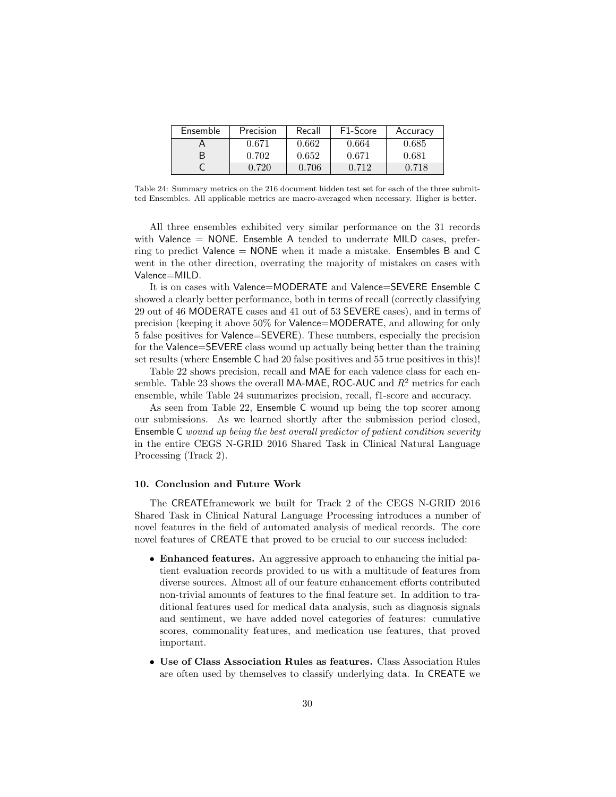| Ensemble | Precision | Recall | F <sub>1</sub> -Score | Accuracy |
|----------|-----------|--------|-----------------------|----------|
|          | 0.671     | 0.662  | 0.664                 | 0.685    |
| B        | 0.702     | 0.652  | 0.671                 | 0.681    |
|          | 0.720     | 0.706  | 0.712                 | 0.718    |

Table 24: Summary metrics on the 216 document hidden test set for each of the three submitted Ensembles. All applicable metrics are macro-averaged when necessary. Higher is better.

All three ensembles exhibited very similar performance on the 31 records with Valence  $=$  NONE. Ensemble A tended to underrate MILD cases, preferring to predict Valence = NONE when it made a mistake. Ensembles B and C went in the other direction, overrating the majority of mistakes on cases with Valence=MILD.

It is on cases with Valence=MODERATE and Valence=SEVERE Ensemble C showed a clearly better performance, both in terms of recall (correctly classifying 29 out of 46 MODERATE cases and 41 out of 53 SEVERE cases), and in terms of precision (keeping it above 50% for Valence=MODERATE, and allowing for only 5 false positives for Valence=SEVERE). These numbers, especially the precision for the Valence=SEVERE class wound up actually being better than the training set results (where Ensemble C had 20 false positives and 55 true positives in this)!

Table 22 shows precision, recall and MAE for each valence class for each ensemble. Table 23 shows the overall MA-MAE, ROC-AUC and  $R<sup>2</sup>$  metrics for each ensemble, while Table 24 summarizes precision, recall, f1-score and accuracy.

As seen from Table 22, Ensemble C wound up being the top scorer among our submissions. As we learned shortly after the submission period closed, Ensemble C wound up being the best overall predictor of patient condition severity in the entire CEGS N-GRID 2016 Shared Task in Clinical Natural Language Processing (Track 2).

#### 10. Conclusion and Future Work

The CREATEframework we built for Track 2 of the CEGS N-GRID 2016 Shared Task in Clinical Natural Language Processing introduces a number of novel features in the field of automated analysis of medical records. The core novel features of CREATE that proved to be crucial to our success included:

- Enhanced features. An aggressive approach to enhancing the initial patient evaluation records provided to us with a multitude of features from diverse sources. Almost all of our feature enhancement efforts contributed non-trivial amounts of features to the final feature set. In addition to traditional features used for medical data analysis, such as diagnosis signals and sentiment, we have added novel categories of features: cumulative scores, commonality features, and medication use features, that proved important.
- Use of Class Association Rules as features. Class Association Rules are often used by themselves to classify underlying data. In CREATE we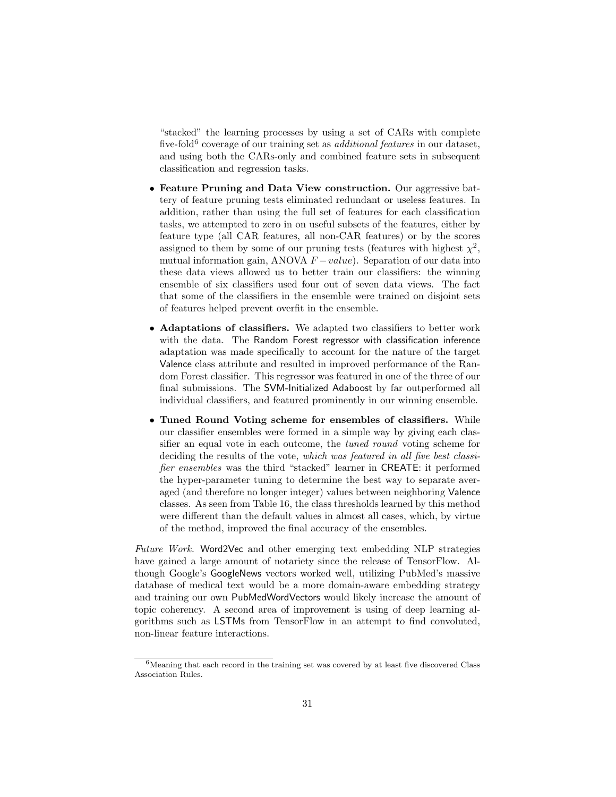"stacked" the learning processes by using a set of CARs with complete five-fold<sup>6</sup> coverage of our training set as *additional features* in our dataset, and using both the CARs-only and combined feature sets in subsequent classification and regression tasks.

- Feature Pruning and Data View construction. Our aggressive battery of feature pruning tests eliminated redundant or useless features. In addition, rather than using the full set of features for each classification tasks, we attempted to zero in on useful subsets of the features, either by feature type (all CAR features, all non-CAR features) or by the scores assigned to them by some of our pruning tests (features with highest  $\chi^2$ , mutual information gain, ANOVA  $F-value$ ). Separation of our data into these data views allowed us to better train our classifiers: the winning ensemble of six classifiers used four out of seven data views. The fact that some of the classifiers in the ensemble were trained on disjoint sets of features helped prevent overfit in the ensemble.
- Adaptations of classifiers. We adapted two classifiers to better work with the data. The Random Forest regressor with classification inference adaptation was made specifically to account for the nature of the target Valence class attribute and resulted in improved performance of the Random Forest classifier. This regressor was featured in one of the three of our final submissions. The SVM-Initialized Adaboost by far outperformed all individual classifiers, and featured prominently in our winning ensemble.
- Tuned Round Voting scheme for ensembles of classifiers. While our classifier ensembles were formed in a simple way by giving each classifier an equal vote in each outcome, the tuned round voting scheme for deciding the results of the vote, which was featured in all five best classifier ensembles was the third "stacked" learner in CREATE: it performed the hyper-parameter tuning to determine the best way to separate averaged (and therefore no longer integer) values between neighboring Valence classes. As seen from Table 16, the class thresholds learned by this method were different than the default values in almost all cases, which, by virtue of the method, improved the final accuracy of the ensembles.

Future Work. Word2Vec and other emerging text embedding NLP strategies have gained a large amount of notariety since the release of TensorFlow. Although Google's GoogleNews vectors worked well, utilizing PubMed's massive database of medical text would be a more domain-aware embedding strategy and training our own PubMedWordVectors would likely increase the amount of topic coherency. A second area of improvement is using of deep learning algorithms such as LSTMs from TensorFlow in an attempt to find convoluted, non-linear feature interactions.

 $6$ Meaning that each record in the training set was covered by at least five discovered Class Association Rules.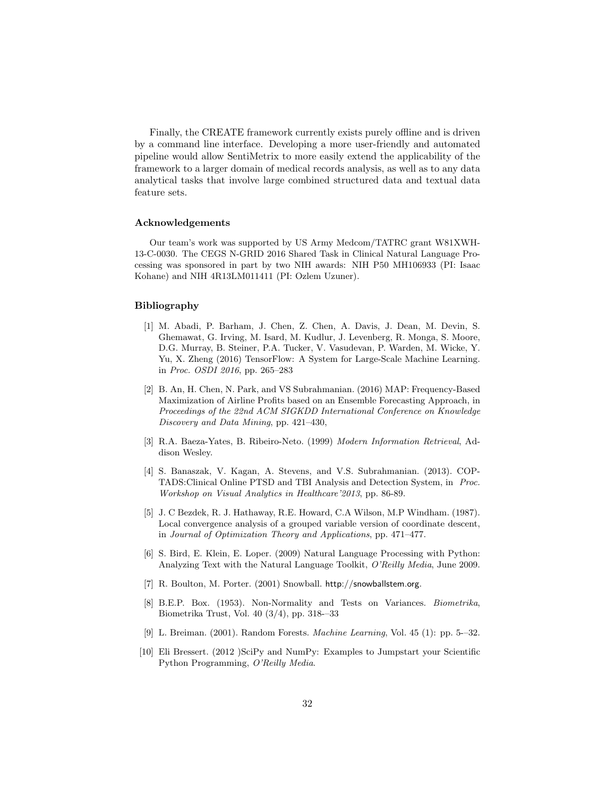Finally, the CREATE framework currently exists purely offline and is driven by a command line interface. Developing a more user-friendly and automated pipeline would allow SentiMetrix to more easily extend the applicability of the framework to a larger domain of medical records analysis, as well as to any data analytical tasks that involve large combined structured data and textual data feature sets.

#### Acknowledgements

Our team's work was supported by US Army Medcom/TATRC grant W81XWH-13-C-0030. The CEGS N-GRID 2016 Shared Task in Clinical Natural Language Processing was sponsored in part by two NIH awards: NIH P50 MH106933 (PI: Isaac Kohane) and NIH 4R13LM011411 (PI: Ozlem Uzuner).

### Bibliography

- [1] M. Abadi, P. Barham, J. Chen, Z. Chen, A. Davis, J. Dean, M. Devin, S. Ghemawat, G. Irving, M. Isard, M. Kudlur, J. Levenberg, R. Monga, S. Moore, D.G. Murray, B. Steiner, P.A. Tucker, V. Vasudevan, P. Warden, M. Wicke, Y. Yu, X. Zheng (2016) TensorFlow: A System for Large-Scale Machine Learning. in Proc. OSDI 2016, pp. 265–283
- [2] B. An, H. Chen, N. Park, and VS Subrahmanian. (2016) MAP: Frequency-Based Maximization of Airline Profits based on an Ensemble Forecasting Approach, in Proceedings of the 22nd ACM SIGKDD International Conference on Knowledge Discovery and Data Mining, pp. 421–430,
- [3] R.A. Baeza-Yates, B. Ribeiro-Neto. (1999) Modern Information Retrieval, Addison Wesley.
- [4] S. Banaszak, V. Kagan, A. Stevens, and V.S. Subrahmanian. (2013). COP-TADS:Clinical Online PTSD and TBI Analysis and Detection System, in Proc. Workshop on Visual Analytics in Healthcare'2013, pp. 86-89.
- [5] J. C Bezdek, R. J. Hathaway, R.E. Howard, C.A Wilson, M.P Windham. (1987). Local convergence analysis of a grouped variable version of coordinate descent, in Journal of Optimization Theory and Applications, pp. 471–477.
- [6] S. Bird, E. Klein, E. Loper. (2009) Natural Language Processing with Python: Analyzing Text with the Natural Language Toolkit, O'Reilly Media, June 2009.
- [7] R. Boulton, M. Porter. (2001) Snowball. http://snowballstem.org.
- [8] B.E.P. Box. (1953). Non-Normality and Tests on Variances. Biometrika, Biometrika Trust, Vol. 40 (3/4), pp. 318-–33
- [9] L. Breiman. (2001). Random Forests. Machine Learning, Vol. 45 (1): pp. 5-–32.
- [10] Eli Bressert. (2012 )SciPy and NumPy: Examples to Jumpstart your Scientific Python Programming, O'Reilly Media.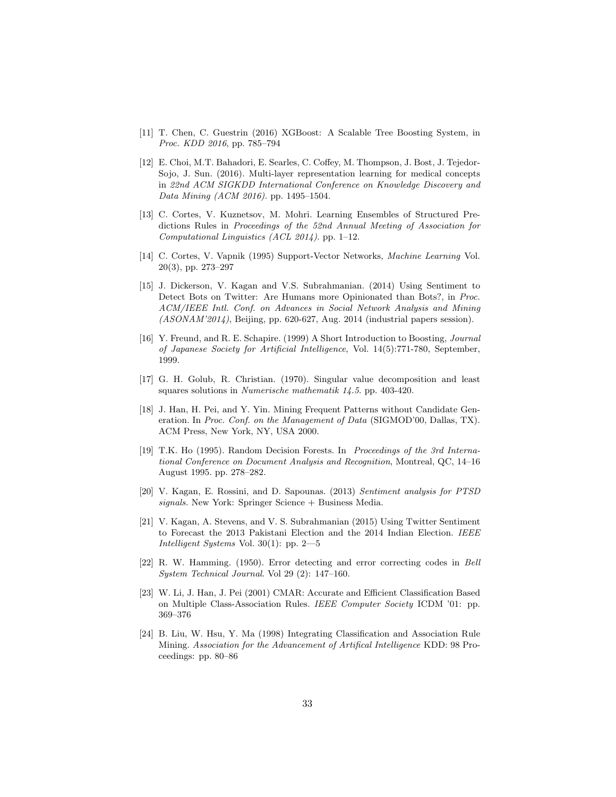- [11] T. Chen, C. Guestrin (2016) XGBoost: A Scalable Tree Boosting System, in Proc. KDD 2016, pp. 785–794
- [12] E. Choi, M.T. Bahadori, E. Searles, C. Coffey, M. Thompson, J. Bost, J. Tejedor-Sojo, J. Sun. (2016). Multi-layer representation learning for medical concepts in 22nd ACM SIGKDD International Conference on Knowledge Discovery and Data Mining (ACM 2016). pp. 1495–1504.
- [13] C. Cortes, V. Kuznetsov, M. Mohri. Learning Ensembles of Structured Predictions Rules in Proceedings of the 52nd Annual Meeting of Association for Computational Linguistics (ACL 2014). pp. 1–12.
- [14] C. Cortes, V. Vapnik (1995) Support-Vector Networks, Machine Learning Vol. 20(3), pp. 273–297
- [15] J. Dickerson, V. Kagan and V.S. Subrahmanian. (2014) Using Sentiment to Detect Bots on Twitter: Are Humans more Opinionated than Bots?, in Proc. ACM/IEEE Intl. Conf. on Advances in Social Network Analysis and Mining (ASONAM'2014), Beijing, pp. 620-627, Aug. 2014 (industrial papers session).
- [16] Y. Freund, and R. E. Schapire. (1999) A Short Introduction to Boosting, Journal of Japanese Society for Artificial Intelligence, Vol. 14(5):771-780, September, 1999.
- [17] G. H. Golub, R. Christian. (1970). Singular value decomposition and least squares solutions in Numerische mathematik 14.5. pp. 403-420.
- [18] J. Han, H. Pei, and Y. Yin. Mining Frequent Patterns without Candidate Generation. In Proc. Conf. on the Management of Data (SIGMOD'00, Dallas, TX). ACM Press, New York, NY, USA 2000.
- [19] T.K. Ho (1995). Random Decision Forests. In Proceedings of the 3rd International Conference on Document Analysis and Recognition, Montreal, QC, 14–16 August 1995. pp. 278–282.
- [20] V. Kagan, E. Rossini, and D. Sapounas. (2013) Sentiment analysis for PTSD signals. New York: Springer Science + Business Media.
- [21] V. Kagan, A. Stevens, and V. S. Subrahmanian (2015) Using Twitter Sentiment to Forecast the 2013 Pakistani Election and the 2014 Indian Election. IEEE Intelligent Systems Vol. 30(1): pp. 2—5
- [22] R. W. Hamming. (1950). Error detecting and error correcting codes in Bell System Technical Journal. Vol 29 (2): 147–160.
- [23] W. Li, J. Han, J. Pei (2001) CMAR: Accurate and Efficient Classification Based on Multiple Class-Association Rules. IEEE Computer Society ICDM '01: pp. 369–376
- [24] B. Liu, W. Hsu, Y. Ma (1998) Integrating Classification and Association Rule Mining. Association for the Advancement of Artifical Intelligence KDD: 98 Proceedings: pp. 80–86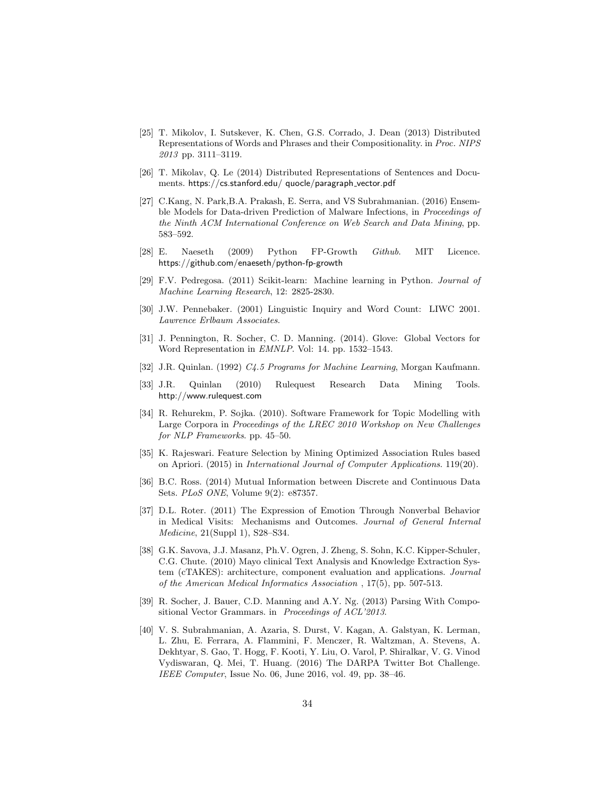- [25] T. Mikolov, I. Sutskever, K. Chen, G.S. Corrado, J. Dean (2013) Distributed Representations of Words and Phrases and their Compositionality. in Proc. NIPS 2013 pp. 3111–3119.
- [26] T. Mikolav, Q. Le (2014) Distributed Representations of Sentences and Documents. https://cs.stanford.edu/ quocle/paragraph vector.pdf
- [27] C.Kang, N. Park,B.A. Prakash, E. Serra, and VS Subrahmanian. (2016) Ensemble Models for Data-driven Prediction of Malware Infections, in Proceedings of the Ninth ACM International Conference on Web Search and Data Mining, pp. 583–592.
- [28] E. Naeseth (2009) Python FP-Growth Github. MIT Licence. https://github.com/enaeseth/python-fp-growth
- [29] F.V. Pedregosa. (2011) Scikit-learn: Machine learning in Python. Journal of Machine Learning Research, 12: 2825-2830.
- [30] J.W. Pennebaker. (2001) Linguistic Inquiry and Word Count: LIWC 2001. Lawrence Erlbaum Associates.
- [31] J. Pennington, R. Socher, C. D. Manning. (2014). Glove: Global Vectors for Word Representation in EMNLP. Vol: 14. pp. 1532–1543.
- [32] J.R. Quinlan. (1992) C4.5 Programs for Machine Learning, Morgan Kaufmann.
- [33] J.R. Quinlan (2010) Rulequest Research Data Mining Tools. http://www.rulequest.com
- [34] R. Rehurekm, P. Sojka. (2010). Software Framework for Topic Modelling with Large Corpora in Proceedings of the LREC 2010 Workshop on New Challenges for NLP Frameworks. pp. 45–50.
- [35] K. Rajeswari. Feature Selection by Mining Optimized Association Rules based on Apriori. (2015) in International Journal of Computer Applications. 119(20).
- [36] B.C. Ross. (2014) Mutual Information between Discrete and Continuous Data Sets. PLoS ONE, Volume 9(2): e87357.
- [37] D.L. Roter. (2011) The Expression of Emotion Through Nonverbal Behavior in Medical Visits: Mechanisms and Outcomes. Journal of General Internal Medicine, 21(Suppl 1), S28–S34.
- [38] G.K. Savova, J.J. Masanz, Ph.V. Ogren, J. Zheng, S. Sohn, K.C. Kipper-Schuler, C.G. Chute. (2010) Mayo clinical Text Analysis and Knowledge Extraction System (cTAKES): architecture, component evaluation and applications. Journal of the American Medical Informatics Association , 17(5), pp. 507-513.
- [39] R. Socher, J. Bauer, C.D. Manning and A.Y. Ng. (2013) Parsing With Compositional Vector Grammars. in Proceedings of ACL'2013.
- [40] V. S. Subrahmanian, A. Azaria, S. Durst, V. Kagan, A. Galstyan, K. Lerman, L. Zhu, E. Ferrara, A. Flammini, F. Menczer, R. Waltzman, A. Stevens, A. Dekhtyar, S. Gao, T. Hogg, F. Kooti, Y. Liu, O. Varol, P. Shiralkar, V. G. Vinod Vydiswaran, Q. Mei, T. Huang. (2016) The DARPA Twitter Bot Challenge. IEEE Computer, Issue No. 06, June 2016, vol. 49, pp. 38–46.